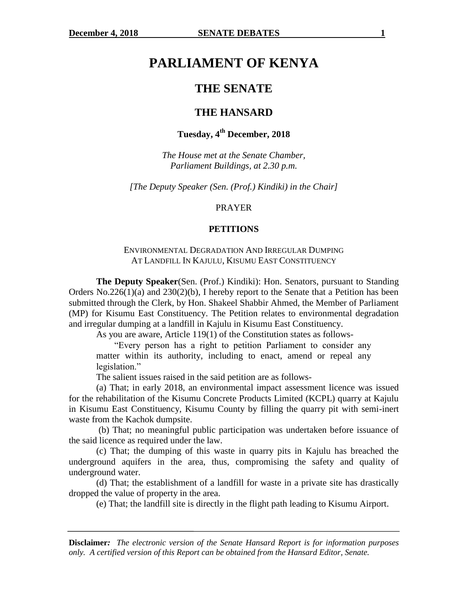# **PARLIAMENT OF KENYA**

## **THE SENATE**

### **THE HANSARD**

# **Tuesday, 4th December, 2018**

*The House met at the Senate Chamber, Parliament Buildings, at 2.30 p.m.*

*[The Deputy Speaker (Sen. (Prof.) Kindiki) in the Chair]*

#### PRAYER

#### **PETITIONS**

### ENVIRONMENTAL DEGRADATION AND IRREGULAR DUMPING AT LANDFILL IN KAJULU, KISUMU EAST CONSTITUENCY

**The Deputy Speaker**(Sen. (Prof.) Kindiki): Hon. Senators, pursuant to Standing Orders No.226(1)(a) and 230(2)(b), I hereby report to the Senate that a Petition has been submitted through the Clerk, by Hon. Shakeel Shabbir Ahmed, the Member of Parliament (MP) for Kisumu East Constituency. The Petition relates to environmental degradation and irregular dumping at a landfill in Kajulu in Kisumu East Constituency.

As you are aware, Article 119(1) of the Constitution states as follows-

"Every person has a right to petition Parliament to consider any matter within its authority, including to enact, amend or repeal any legislation."

The salient issues raised in the said petition are as follows-

(a) That; in early 2018, an environmental impact assessment licence was issued for the rehabilitation of the Kisumu Concrete Products Limited (KCPL) quarry at Kajulu in Kisumu East Constituency, Kisumu County by filling the quarry pit with semi-inert waste from the Kachok dumpsite.

(b) That; no meaningful public participation was undertaken before issuance of the said licence as required under the law.

(c) That; the dumping of this waste in quarry pits in Kajulu has breached the underground aquifers in the area, thus, compromising the safety and quality of underground water.

(d) That; the establishment of a landfill for waste in a private site has drastically dropped the value of property in the area.

(e) That; the landfill site is directly in the flight path leading to Kisumu Airport.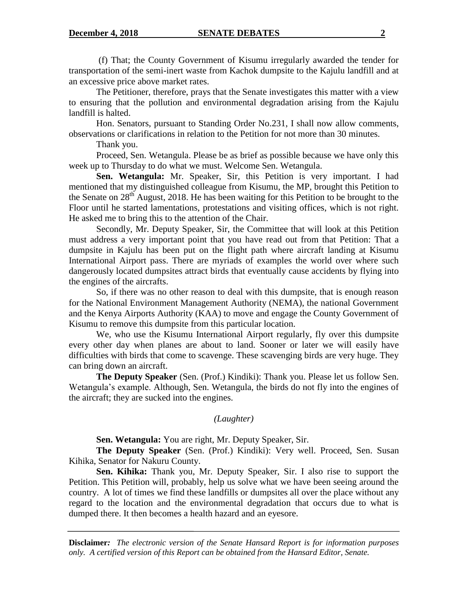(f) That; the County Government of Kisumu irregularly awarded the tender for transportation of the semi-inert waste from Kachok dumpsite to the Kajulu landfill and at an excessive price above market rates.

The Petitioner, therefore, prays that the Senate investigates this matter with a view to ensuring that the pollution and environmental degradation arising from the Kajulu landfill is halted.

Hon. Senators, pursuant to Standing Order No.231, I shall now allow comments, observations or clarifications in relation to the Petition for not more than 30 minutes.

Thank you.

Proceed, Sen. Wetangula. Please be as brief as possible because we have only this week up to Thursday to do what we must. Welcome Sen. Wetangula.

**Sen. Wetangula:** Mr. Speaker, Sir, this Petition is very important. I had mentioned that my distinguished colleague from Kisumu, the MP, brought this Petition to the Senate on  $28<sup>th</sup>$  August, 2018. He has been waiting for this Petition to be brought to the Floor until he started lamentations, protestations and visiting offices, which is not right. He asked me to bring this to the attention of the Chair.

Secondly, Mr. Deputy Speaker, Sir, the Committee that will look at this Petition must address a very important point that you have read out from that Petition: That a dumpsite in Kajulu has been put on the flight path where aircraft landing at Kisumu International Airport pass. There are myriads of examples the world over where such dangerously located dumpsites attract birds that eventually cause accidents by flying into the engines of the aircrafts.

So, if there was no other reason to deal with this dumpsite, that is enough reason for the National Environment Management Authority (NEMA), the national Government and the Kenya Airports Authority (KAA) to move and engage the County Government of Kisumu to remove this dumpsite from this particular location.

We, who use the Kisumu International Airport regularly, fly over this dumpsite every other day when planes are about to land. Sooner or later we will easily have difficulties with birds that come to scavenge. These scavenging birds are very huge. They can bring down an aircraft.

**The Deputy Speaker** (Sen. (Prof.) Kindiki): Thank you. Please let us follow Sen. Wetangula"s example. Although, Sen. Wetangula, the birds do not fly into the engines of the aircraft; they are sucked into the engines.

### *(Laughter)*

**Sen. Wetangula:** You are right, Mr. Deputy Speaker, Sir.

**The Deputy Speaker** (Sen. (Prof.) Kindiki): Very well. Proceed, Sen. Susan Kihika, Senator for Nakuru County.

**Sen. Kihika:** Thank you, Mr. Deputy Speaker, Sir. I also rise to support the Petition. This Petition will, probably, help us solve what we have been seeing around the country. A lot of times we find these landfills or dumpsites all over the place without any regard to the location and the environmental degradation that occurs due to what is dumped there. It then becomes a health hazard and an eyesore.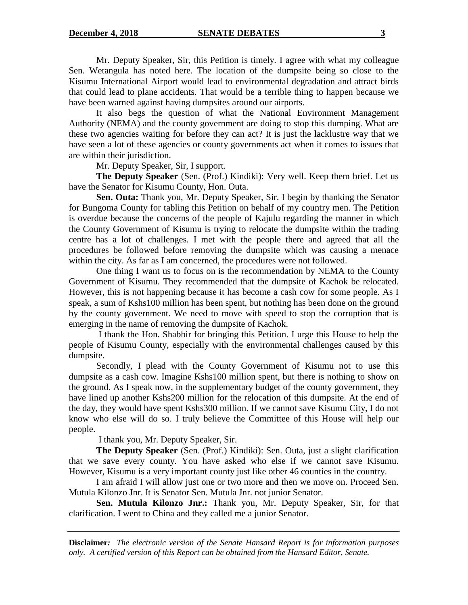Mr. Deputy Speaker, Sir, this Petition is timely. I agree with what my colleague Sen. Wetangula has noted here. The location of the dumpsite being so close to the Kisumu International Airport would lead to environmental degradation and attract birds that could lead to plane accidents. That would be a terrible thing to happen because we have been warned against having dumpsites around our airports.

It also begs the question of what the National Environment Management Authority (NEMA) and the county government are doing to stop this dumping. What are these two agencies waiting for before they can act? It is just the lacklustre way that we have seen a lot of these agencies or county governments act when it comes to issues that are within their jurisdiction.

Mr. Deputy Speaker, Sir, I support.

**The Deputy Speaker** (Sen. (Prof.) Kindiki): Very well. Keep them brief. Let us have the Senator for Kisumu County, Hon. Outa.

**Sen. Outa:** Thank you, Mr. Deputy Speaker, Sir. I begin by thanking the Senator for Bungoma County for tabling this Petition on behalf of my country men. The Petition is overdue because the concerns of the people of Kajulu regarding the manner in which the County Government of Kisumu is trying to relocate the dumpsite within the trading centre has a lot of challenges. I met with the people there and agreed that all the procedures be followed before removing the dumpsite which was causing a menace within the city. As far as I am concerned, the procedures were not followed.

One thing I want us to focus on is the recommendation by NEMA to the County Government of Kisumu. They recommended that the dumpsite of Kachok be relocated. However, this is not happening because it has become a cash cow for some people. As I speak, a sum of Kshs100 million has been spent, but nothing has been done on the ground by the county government. We need to move with speed to stop the corruption that is emerging in the name of removing the dumpsite of Kachok.

I thank the Hon. Shabbir for bringing this Petition. I urge this House to help the people of Kisumu County, especially with the environmental challenges caused by this dumpsite.

Secondly, I plead with the County Government of Kisumu not to use this dumpsite as a cash cow. Imagine Kshs100 million spent, but there is nothing to show on the ground. As I speak now, in the supplementary budget of the county government, they have lined up another Kshs200 million for the relocation of this dumpsite. At the end of the day, they would have spent Kshs300 million. If we cannot save Kisumu City, I do not know who else will do so. I truly believe the Committee of this House will help our people.

I thank you, Mr. Deputy Speaker, Sir.

**The Deputy Speaker** (Sen. (Prof.) Kindiki): Sen. Outa, just a slight clarification that we save every county. You have asked who else if we cannot save Kisumu. However, Kisumu is a very important county just like other 46 counties in the country.

I am afraid I will allow just one or two more and then we move on. Proceed Sen. Mutula Kilonzo Jnr. It is Senator Sen. Mutula Jnr. not junior Senator.

**Sen. Mutula Kilonzo Jnr.:** Thank you, Mr. Deputy Speaker, Sir, for that clarification. I went to China and they called me a junior Senator.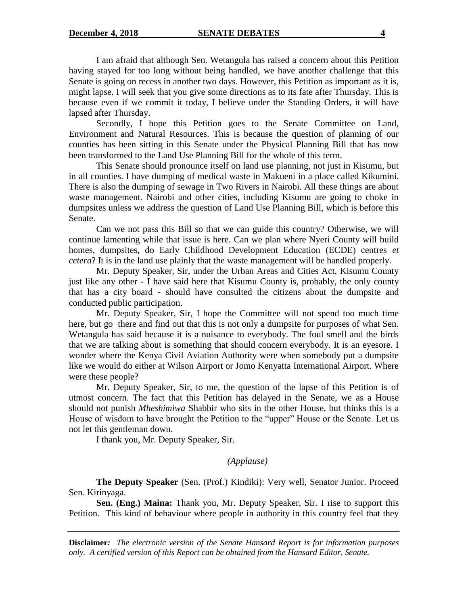I am afraid that although Sen. Wetangula has raised a concern about this Petition having stayed for too long without being handled, we have another challenge that this Senate is going on recess in another two days. However, this Petition as important as it is, might lapse. I will seek that you give some directions as to its fate after Thursday. This is because even if we commit it today, I believe under the Standing Orders, it will have lapsed after Thursday.

Secondly, I hope this Petition goes to the Senate Committee on Land, Environment and Natural Resources. This is because the question of planning of our counties has been sitting in this Senate under the Physical Planning Bill that has now been transformed to the Land Use Planning Bill for the whole of this term.

This Senate should pronounce itself on land use planning, not just in Kisumu, but in all counties. I have dumping of medical waste in Makueni in a place called Kikumini. There is also the dumping of sewage in Two Rivers in Nairobi. All these things are about waste management. Nairobi and other cities, including Kisumu are going to choke in dumpsites unless we address the question of Land Use Planning Bill, which is before this Senate.

Can we not pass this Bill so that we can guide this country? Otherwise, we will continue lamenting while that issue is here. Can we plan where Nyeri County will build homes, dumpsites, do Early Childhood Development Education (ECDE) centres *et cetera*? It is in the land use plainly that the waste management will be handled properly.

Mr. Deputy Speaker, Sir, under the Urban Areas and Cities Act, Kisumu County just like any other - I have said here that Kisumu County is, probably, the only county that has a city board - should have consulted the citizens about the dumpsite and conducted public participation.

Mr. Deputy Speaker, Sir, I hope the Committee will not spend too much time here, but go there and find out that this is not only a dumpsite for purposes of what Sen. Wetangula has said because it is a nuisance to everybody. The foul smell and the birds that we are talking about is something that should concern everybody. It is an eyesore. I wonder where the Kenya Civil Aviation Authority were when somebody put a dumpsite like we would do either at Wilson Airport or Jomo Kenyatta International Airport. Where were these people?

Mr. Deputy Speaker, Sir, to me, the question of the lapse of this Petition is of utmost concern. The fact that this Petition has delayed in the Senate, we as a House should not punish *Mheshimiwa* Shabbir who sits in the other House, but thinks this is a House of wisdom to have brought the Petition to the "upper" House or the Senate. Let us not let this gentleman down.

I thank you, Mr. Deputy Speaker, Sir.

### *(Applause)*

**The Deputy Speaker** (Sen. (Prof.) Kindiki): Very well, Senator Junior. Proceed Sen. Kirinyaga.

**Sen. (Eng.) Maina:** Thank you, Mr. Deputy Speaker, Sir. I rise to support this Petition. This kind of behaviour where people in authority in this country feel that they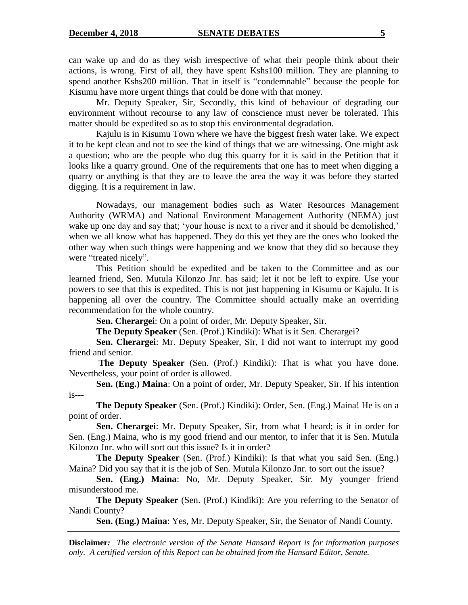can wake up and do as they wish irrespective of what their people think about their actions, is wrong. First of all, they have spent Kshs100 million. They are planning to spend another Kshs200 million. That in itself is "condemnable" because the people for Kisumu have more urgent things that could be done with that money.

Mr. Deputy Speaker, Sir, Secondly, this kind of behaviour of degrading our environment without recourse to any law of conscience must never be tolerated. This matter should be expedited so as to stop this environmental degradation.

Kajulu is in Kisumu Town where we have the biggest fresh water lake. We expect it to be kept clean and not to see the kind of things that we are witnessing. One might ask a question; who are the people who dug this quarry for it is said in the Petition that it looks like a quarry ground. One of the requirements that one has to meet when digging a quarry or anything is that they are to leave the area the way it was before they started digging. It is a requirement in law.

Nowadays, our management bodies such as Water Resources Management Authority (WRMA) and National Environment Management Authority (NEMA) just wake up one day and say that; 'your house is next to a river and it should be demolished,' when we all know what has happened. They do this yet they are the ones who looked the other way when such things were happening and we know that they did so because they were "treated nicely".

This Petition should be expedited and be taken to the Committee and as our learned friend, Sen. Mutula Kilonzo Jnr. has said; let it not be left to expire. Use your powers to see that this is expedited. This is not just happening in Kisumu or Kajulu. It is happening all over the country. The Committee should actually make an overriding recommendation for the whole country.

**Sen. Cherargei**: On a point of order, Mr. Deputy Speaker, Sir.

**The Deputy Speaker** (Sen. (Prof.) Kindiki): What is it Sen. Cherargei?

**Sen. Cherargei**: Mr. Deputy Speaker, Sir, I did not want to interrupt my good friend and senior.

**The Deputy Speaker** (Sen. (Prof.) Kindiki): That is what you have done. Nevertheless, your point of order is allowed.

**Sen. (Eng.) Maina**: On a point of order, Mr. Deputy Speaker, Sir. If his intention is---

**The Deputy Speaker** (Sen. (Prof.) Kindiki): Order, Sen. (Eng.) Maina! He is on a point of order.

**Sen. Cherargei**: Mr. Deputy Speaker, Sir, from what I heard; is it in order for Sen. (Eng.) Maina, who is my good friend and our mentor, to infer that it is Sen. Mutula Kilonzo Jnr. who will sort out this issue? Is it in order?

**The Deputy Speaker** (Sen. (Prof.) Kindiki): Is that what you said Sen. (Eng.) Maina? Did you say that it is the job of Sen. Mutula Kilonzo Jnr. to sort out the issue?

**Sen. (Eng.) Maina**: No, Mr. Deputy Speaker, Sir. My younger friend misunderstood me.

**The Deputy Speaker** (Sen. (Prof.) Kindiki): Are you referring to the Senator of Nandi County?

**Sen. (Eng.) Maina**: Yes, Mr. Deputy Speaker, Sir, the Senator of Nandi County.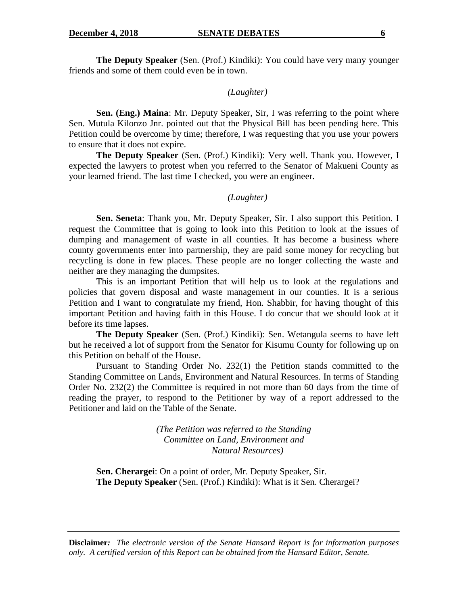**The Deputy Speaker** (Sen. (Prof.) Kindiki): You could have very many younger friends and some of them could even be in town.

#### *(Laughter)*

**Sen. (Eng.) Maina**: Mr. Deputy Speaker, Sir, I was referring to the point where Sen. Mutula Kilonzo Jnr. pointed out that the Physical Bill has been pending here. This Petition could be overcome by time; therefore, I was requesting that you use your powers to ensure that it does not expire.

**The Deputy Speaker** (Sen. (Prof.) Kindiki): Very well. Thank you. However, I expected the lawyers to protest when you referred to the Senator of Makueni County as your learned friend. The last time I checked, you were an engineer.

#### *(Laughter)*

**Sen. Seneta**: Thank you, Mr. Deputy Speaker, Sir. I also support this Petition. I request the Committee that is going to look into this Petition to look at the issues of dumping and management of waste in all counties. It has become a business where county governments enter into partnership, they are paid some money for recycling but recycling is done in few places. These people are no longer collecting the waste and neither are they managing the dumpsites.

This is an important Petition that will help us to look at the regulations and policies that govern disposal and waste management in our counties. It is a serious Petition and I want to congratulate my friend, Hon. Shabbir, for having thought of this important Petition and having faith in this House. I do concur that we should look at it before its time lapses.

**The Deputy Speaker** (Sen. (Prof.) Kindiki): Sen. Wetangula seems to have left but he received a lot of support from the Senator for Kisumu County for following up on this Petition on behalf of the House.

Pursuant to Standing Order No. 232(1) the Petition stands committed to the Standing Committee on Lands, Environment and Natural Resources. In terms of Standing Order No. 232(2) the Committee is required in not more than 60 days from the time of reading the prayer, to respond to the Petitioner by way of a report addressed to the Petitioner and laid on the Table of the Senate.

> *(The Petition was referred to the Standing Committee on Land, Environment and Natural Resources)*

**Sen. Cherargei**: On a point of order, Mr. Deputy Speaker, Sir. **The Deputy Speaker** (Sen. (Prof.) Kindiki): What is it Sen. Cherargei?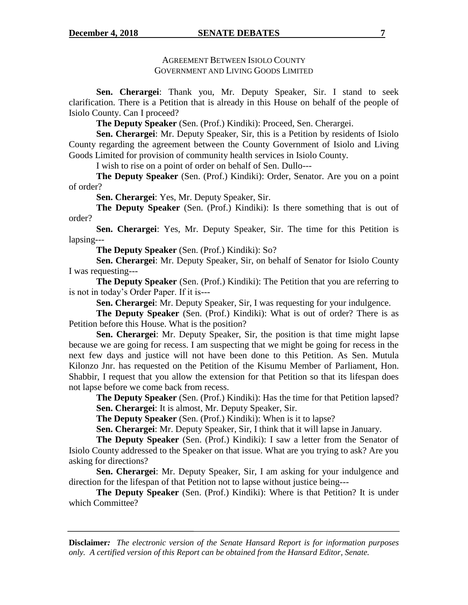#### **December 4, 2018 SENATE DEBATES** 7

### AGREEMENT BETWEEN ISIOLO COUNTY GOVERNMENT AND LIVING GOODS LIMITED

**Sen. Cherargei**: Thank you, Mr. Deputy Speaker, Sir. I stand to seek clarification. There is a Petition that is already in this House on behalf of the people of Isiolo County. Can I proceed?

**The Deputy Speaker** (Sen. (Prof.) Kindiki): Proceed, Sen. Cherargei.

**Sen. Cherargei**: Mr. Deputy Speaker, Sir, this is a Petition by residents of Isiolo County regarding the agreement between the County Government of Isiolo and Living Goods Limited for provision of community health services in Isiolo County.

I wish to rise on a point of order on behalf of Sen. Dullo---

**The Deputy Speaker** (Sen. (Prof.) Kindiki): Order, Senator. Are you on a point of order?

**Sen. Cherargei**: Yes, Mr. Deputy Speaker, Sir.

**The Deputy Speaker** (Sen. (Prof.) Kindiki): Is there something that is out of order?

**Sen. Cherargei**: Yes, Mr. Deputy Speaker, Sir. The time for this Petition is lapsing---

**The Deputy Speaker** (Sen. (Prof.) Kindiki): So?

**Sen. Cherargei**: Mr. Deputy Speaker, Sir, on behalf of Senator for Isiolo County I was requesting---

**The Deputy Speaker** (Sen. (Prof.) Kindiki): The Petition that you are referring to is not in today"s Order Paper. If it is---

**Sen. Cherargei**: Mr. Deputy Speaker, Sir, I was requesting for your indulgence.

**The Deputy Speaker** (Sen. (Prof.) Kindiki): What is out of order? There is as Petition before this House. What is the position?

**Sen. Cherargei**: Mr. Deputy Speaker, Sir, the position is that time might lapse because we are going for recess. I am suspecting that we might be going for recess in the next few days and justice will not have been done to this Petition. As Sen. Mutula Kilonzo Jnr. has requested on the Petition of the Kisumu Member of Parliament, Hon. Shabbir, I request that you allow the extension for that Petition so that its lifespan does not lapse before we come back from recess.

**The Deputy Speaker** (Sen. (Prof.) Kindiki): Has the time for that Petition lapsed? **Sen. Cherargei**: It is almost, Mr. Deputy Speaker, Sir.

**The Deputy Speaker** (Sen. (Prof.) Kindiki): When is it to lapse?

**Sen. Cherargei**: Mr. Deputy Speaker, Sir, I think that it will lapse in January.

**The Deputy Speaker** (Sen. (Prof.) Kindiki): I saw a letter from the Senator of Isiolo County addressed to the Speaker on that issue. What are you trying to ask? Are you asking for directions?

**Sen. Cherargei**: Mr. Deputy Speaker, Sir, I am asking for your indulgence and direction for the lifespan of that Petition not to lapse without justice being---

**The Deputy Speaker** (Sen. (Prof.) Kindiki): Where is that Petition? It is under which Committee?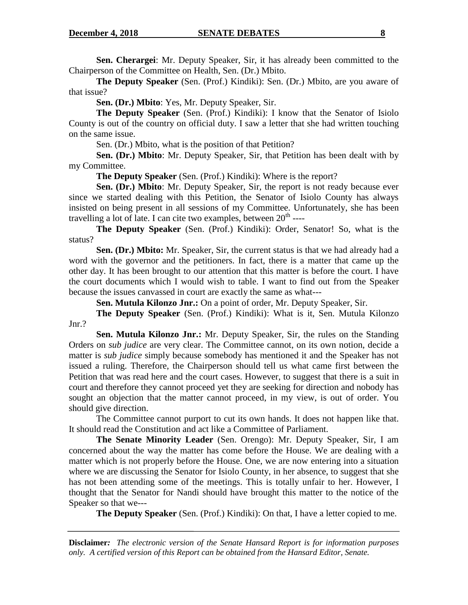**Sen. Cherargei**: Mr. Deputy Speaker, Sir, it has already been committed to the Chairperson of the Committee on Health, Sen. (Dr.) Mbito.

**The Deputy Speaker** (Sen. (Prof.) Kindiki): Sen. (Dr.) Mbito, are you aware of that issue?

**Sen. (Dr.) Mbito**: Yes, Mr. Deputy Speaker, Sir.

**The Deputy Speaker** (Sen. (Prof.) Kindiki): I know that the Senator of Isiolo County is out of the country on official duty. I saw a letter that she had written touching on the same issue.

Sen. (Dr.) Mbito, what is the position of that Petition?

**Sen. (Dr.) Mbito**: Mr. Deputy Speaker, Sir, that Petition has been dealt with by my Committee.

**The Deputy Speaker** (Sen. (Prof.) Kindiki): Where is the report?

**Sen. (Dr.) Mbito**: Mr. Deputy Speaker, Sir, the report is not ready because ever since we started dealing with this Petition, the Senator of Isiolo County has always insisted on being present in all sessions of my Committee. Unfortunately, she has been travelling a lot of late. I can cite two examples, between  $20<sup>th</sup>$  ----

**The Deputy Speaker** (Sen. (Prof.) Kindiki): Order, Senator! So, what is the status?

**Sen. (Dr.) Mbito:** Mr. Speaker, Sir, the current status is that we had already had a word with the governor and the petitioners. In fact, there is a matter that came up the other day. It has been brought to our attention that this matter is before the court. I have the court documents which I would wish to table. I want to find out from the Speaker because the issues canvassed in court are exactly the same as what---

**Sen. Mutula Kilonzo Jnr.:** On a point of order, Mr. Deputy Speaker, Sir.

**The Deputy Speaker** (Sen. (Prof.) Kindiki): What is it, Sen. Mutula Kilonzo Jnr.?

**Sen. Mutula Kilonzo Jnr.:** Mr. Deputy Speaker, Sir, the rules on the Standing Orders on *sub judice* are very clear. The Committee cannot, on its own notion, decide a matter is *sub judice* simply because somebody has mentioned it and the Speaker has not issued a ruling. Therefore, the Chairperson should tell us what came first between the Petition that was read here and the court cases. However, to suggest that there is a suit in court and therefore they cannot proceed yet they are seeking for direction and nobody has sought an objection that the matter cannot proceed, in my view, is out of order. You should give direction.

The Committee cannot purport to cut its own hands. It does not happen like that. It should read the Constitution and act like a Committee of Parliament.

**The Senate Minority Leader** (Sen. Orengo): Mr. Deputy Speaker, Sir, I am concerned about the way the matter has come before the House. We are dealing with a matter which is not properly before the House. One, we are now entering into a situation where we are discussing the Senator for Isiolo County, in her absence, to suggest that she has not been attending some of the meetings. This is totally unfair to her. However, I thought that the Senator for Nandi should have brought this matter to the notice of the Speaker so that we---

**The Deputy Speaker** (Sen. (Prof.) Kindiki): On that, I have a letter copied to me.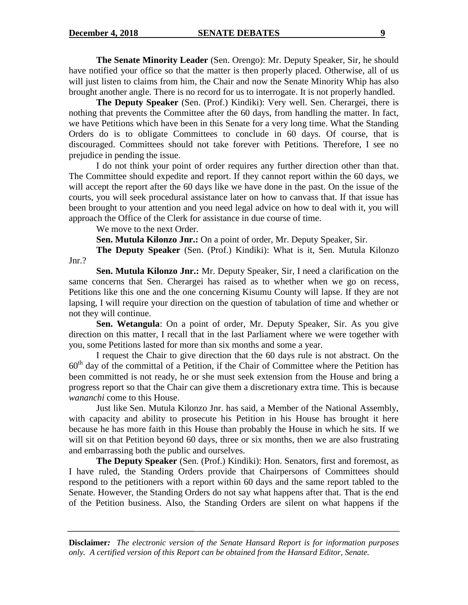**The Senate Minority Leader** (Sen. Orengo): Mr. Deputy Speaker, Sir, he should have notified your office so that the matter is then properly placed. Otherwise, all of us will just listen to claims from him, the Chair and now the Senate Minority Whip has also brought another angle. There is no record for us to interrogate. It is not properly handled.

**The Deputy Speaker** (Sen. (Prof.) Kindiki): Very well. Sen. Cherargei, there is nothing that prevents the Committee after the 60 days, from handling the matter. In fact, we have Petitions which have been in this Senate for a very long time. What the Standing Orders do is to obligate Committees to conclude in 60 days. Of course, that is discouraged. Committees should not take forever with Petitions. Therefore, I see no prejudice in pending the issue.

I do not think your point of order requires any further direction other than that. The Committee should expedite and report. If they cannot report within the 60 days, we will accept the report after the 60 days like we have done in the past. On the issue of the courts, you will seek procedural assistance later on how to canvass that. If that issue has been brought to your attention and you need legal advice on how to deal with it, you will approach the Office of the Clerk for assistance in due course of time.

We move to the next Order.

**Sen. Mutula Kilonzo Jnr.:** On a point of order, Mr. Deputy Speaker, Sir.

**The Deputy Speaker** (Sen. (Prof.) Kindiki): What is it, Sen. Mutula Kilonzo Jnr.?

**Sen. Mutula Kilonzo Jnr.:** Mr. Deputy Speaker, Sir, I need a clarification on the same concerns that Sen. Cherargei has raised as to whether when we go on recess, Petitions like this one and the one concerning Kisumu County will lapse. If they are not lapsing, I will require your direction on the question of tabulation of time and whether or not they will continue.

**Sen. Wetangula**: On a point of order, Mr. Deputy Speaker, Sir. As you give direction on this matter, I recall that in the last Parliament where we were together with you, some Petitions lasted for more than six months and some a year.

I request the Chair to give direction that the 60 days rule is not abstract. On the  $60<sup>th</sup>$  day of the committal of a Petition, if the Chair of Committee where the Petition has been committed is not ready, he or she must seek extension from the House and bring a progress report so that the Chair can give them a discretionary extra time. This is because *wananchi* come to this House.

Just like Sen. Mutula Kilonzo Jnr. has said, a Member of the National Assembly, with capacity and ability to prosecute his Petition in his House has brought it here because he has more faith in this House than probably the House in which he sits. If we will sit on that Petition beyond 60 days, three or six months, then we are also frustrating and embarrassing both the public and ourselves.

**The Deputy Speaker** (Sen. (Prof.) Kindiki): Hon. Senators, first and foremost, as I have ruled, the Standing Orders provide that Chairpersons of Committees should respond to the petitioners with a report within 60 days and the same report tabled to the Senate. However, the Standing Orders do not say what happens after that. That is the end of the Petition business. Also, the Standing Orders are silent on what happens if the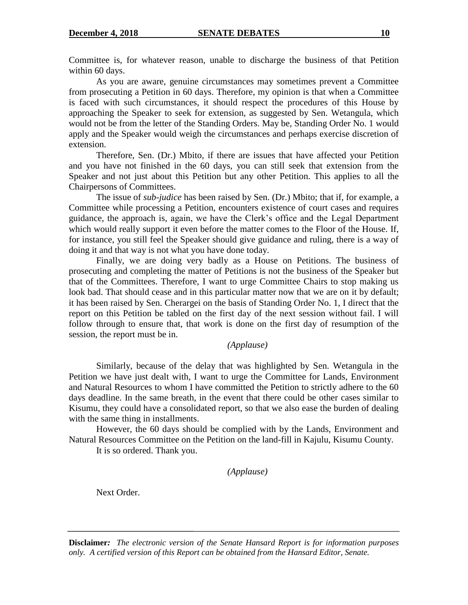Committee is, for whatever reason, unable to discharge the business of that Petition within 60 days.

As you are aware, genuine circumstances may sometimes prevent a Committee from prosecuting a Petition in 60 days. Therefore, my opinion is that when a Committee is faced with such circumstances, it should respect the procedures of this House by approaching the Speaker to seek for extension, as suggested by Sen. Wetangula, which would not be from the letter of the Standing Orders. May be, Standing Order No. 1 would apply and the Speaker would weigh the circumstances and perhaps exercise discretion of extension.

Therefore, Sen. (Dr.) Mbito, if there are issues that have affected your Petition and you have not finished in the 60 days, you can still seek that extension from the Speaker and not just about this Petition but any other Petition. This applies to all the Chairpersons of Committees.

The issue of *sub-judice* has been raised by Sen. (Dr.) Mbito; that if, for example, a Committee while processing a Petition, encounters existence of court cases and requires guidance, the approach is, again, we have the Clerk"s office and the Legal Department which would really support it even before the matter comes to the Floor of the House. If, for instance, you still feel the Speaker should give guidance and ruling, there is a way of doing it and that way is not what you have done today.

Finally, we are doing very badly as a House on Petitions. The business of prosecuting and completing the matter of Petitions is not the business of the Speaker but that of the Committees. Therefore, I want to urge Committee Chairs to stop making us look bad. That should cease and in this particular matter now that we are on it by default; it has been raised by Sen. Cherargei on the basis of Standing Order No. 1, I direct that the report on this Petition be tabled on the first day of the next session without fail. I will follow through to ensure that, that work is done on the first day of resumption of the session, the report must be in.

*(Applause)*

Similarly, because of the delay that was highlighted by Sen. Wetangula in the Petition we have just dealt with, I want to urge the Committee for Lands, Environment and Natural Resources to whom I have committed the Petition to strictly adhere to the 60 days deadline. In the same breath, in the event that there could be other cases similar to Kisumu, they could have a consolidated report, so that we also ease the burden of dealing with the same thing in installments.

However, the 60 days should be complied with by the Lands, Environment and Natural Resources Committee on the Petition on the land-fill in Kajulu, Kisumu County.

It is so ordered. Thank you.

*(Applause)*

Next Order.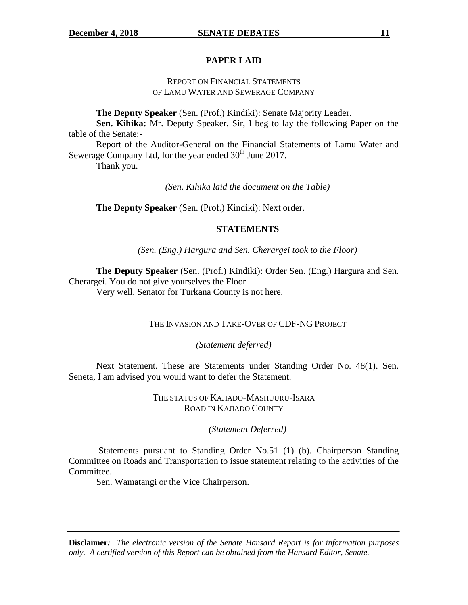### **PAPER LAID**

### REPORT ON FINANCIAL STATEMENTS OF LAMU WATER AND SEWERAGE COMPANY

**The Deputy Speaker** (Sen. (Prof.) Kindiki): Senate Majority Leader.

**Sen. Kihika:** Mr. Deputy Speaker, Sir, I beg to lay the following Paper on the table of the Senate:-

Report of the Auditor-General on the Financial Statements of Lamu Water and Sewerage Company Ltd, for the year ended  $30<sup>th</sup>$  June 2017.

Thank you.

*(Sen. Kihika laid the document on the Table)*

**The Deputy Speaker** (Sen. (Prof.) Kindiki): Next order.

### **STATEMENTS**

*(Sen. (Eng.) Hargura and Sen. Cherargei took to the Floor)*

**The Deputy Speaker** (Sen. (Prof.) Kindiki): Order Sen. (Eng.) Hargura and Sen. Cherargei. You do not give yourselves the Floor.

Very well, Senator for Turkana County is not here.

### THE INVASION AND TAKE-OVER OF CDF-NG PROJECT

*(Statement deferred)*

Next Statement. These are Statements under Standing Order No. 48(1). Sen. Seneta, I am advised you would want to defer the Statement.

> THE STATUS OF KAJIADO-MASHUURU-ISARA ROAD IN KAJIADO COUNTY

#### *(Statement Deferred)*

Statements pursuant to Standing Order No.51 (1) (b). Chairperson Standing Committee on Roads and Transportation to issue statement relating to the activities of the Committee.

Sen. Wamatangi or the Vice Chairperson.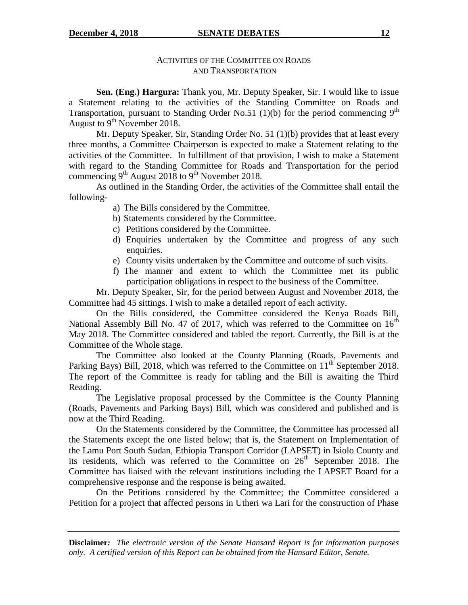#### **December 4, 2018 SENATE DEBATES** 12

### ACTIVITIES OF THE COMMITTEE ON ROADS AND TRANSPORTATION

**Sen. (Eng.) Hargura:** Thank you, Mr. Deputy Speaker, Sir. I would like to issue a Statement relating to the activities of the Standing Committee on Roads and Transportation, pursuant to Standing Order No.51 (1)(b) for the period commencing  $9<sup>th</sup>$ August to  $9^{th}$  November 2018.

Mr. Deputy Speaker, Sir, Standing Order No. 51 (1)(b) provides that at least every three months, a Committee Chairperson is expected to make a Statement relating to the activities of the Committee. In fulfillment of that provision, I wish to make a Statement with regard to the Standing Committee for Roads and Transportation for the period commencing  $9^{th}$  August 2018 to  $9^{th}$  November 2018.

As outlined in the Standing Order, the activities of the Committee shall entail the following-

- a) The Bills considered by the Committee.
- b) Statements considered by the Committee.
- c) Petitions considered by the Committee.
- d) Enquiries undertaken by the Committee and progress of any such enquiries.
- e) County visits undertaken by the Committee and outcome of such visits.
- f) The manner and extent to which the Committee met its public participation obligations in respect to the business of the Committee.

Mr. Deputy Speaker, Sir, for the period between August and November 2018, the Committee had 45 sittings. I wish to make a detailed report of each activity.

On the Bills considered, the Committee considered the Kenya Roads Bill, National Assembly Bill No. 47 of 2017, which was referred to the Committee on  $16<sup>th</sup>$ May 2018. The Committee considered and tabled the report. Currently, the Bill is at the Committee of the Whole stage.

The Committee also looked at the County Planning (Roads, Pavements and Parking Bays) Bill, 2018, which was referred to the Committee on  $11<sup>th</sup>$  September 2018. The report of the Committee is ready for tabling and the Bill is awaiting the Third Reading.

The Legislative proposal processed by the Committee is the County Planning (Roads, Pavements and Parking Bays) Bill, which was considered and published and is now at the Third Reading.

On the Statements considered by the Committee, the Committee has processed all the Statements except the one listed below; that is, the Statement on Implementation of the Lamu Port South Sudan, Ethiopia Transport Corridor (LAPSET) in Isiolo County and its residents, which was referred to the Committee on  $26<sup>th</sup>$  September 2018. The Committee has liaised with the relevant institutions including the LAPSET Board for a comprehensive response and the response is being awaited.

On the Petitions considered by the Committee; the Committee considered a Petition for a project that affected persons in Utheri wa Lari for the construction of Phase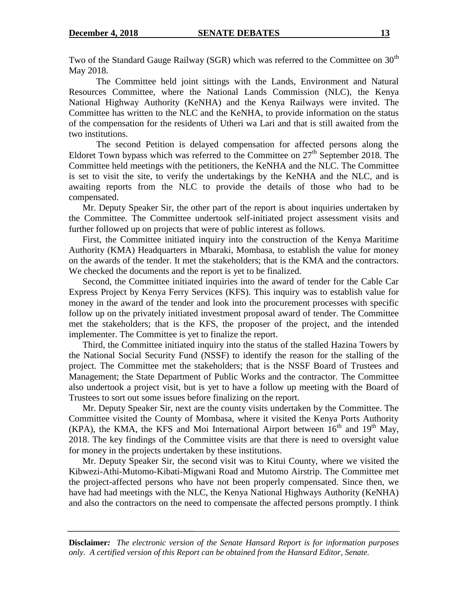Two of the Standard Gauge Railway (SGR) which was referred to the Committee on  $30<sup>th</sup>$ May 2018.

The Committee held joint sittings with the Lands, Environment and Natural Resources Committee, where the National Lands Commission (NLC), the Kenya National Highway Authority (KeNHA) and the Kenya Railways were invited. The Committee has written to the NLC and the KeNHA, to provide information on the status of the compensation for the residents of Utheri wa Lari and that is still awaited from the two institutions.

The second Petition is delayed compensation for affected persons along the Eldoret Town bypass which was referred to the Committee on  $27<sup>th</sup>$  September 2018. The Committee held meetings with the petitioners, the KeNHA and the NLC. The Committee is set to visit the site, to verify the undertakings by the KeNHA and the NLC, and is awaiting reports from the NLC to provide the details of those who had to be compensated.

Mr. Deputy Speaker Sir, the other part of the report is about inquiries undertaken by the Committee. The Committee undertook self-initiated project assessment visits and further followed up on projects that were of public interest as follows.

First, the Committee initiated inquiry into the construction of the Kenya Maritime Authority (KMA) Headquarters in Mbaraki, Mombasa, to establish the value for money on the awards of the tender. It met the stakeholders; that is the KMA and the contractors. We checked the documents and the report is yet to be finalized.

Second, the Committee initiated inquiries into the award of tender for the Cable Car Express Project by Kenya Ferry Services (KFS). This inquiry was to establish value for money in the award of the tender and look into the procurement processes with specific follow up on the privately initiated investment proposal award of tender. The Committee met the stakeholders; that is the KFS, the proposer of the project, and the intended implementer. The Committee is yet to finalize the report.

Third, the Committee initiated inquiry into the status of the stalled Hazina Towers by the National Social Security Fund (NSSF) to identify the reason for the stalling of the project. The Committee met the stakeholders; that is the NSSF Board of Trustees and Management; the State Department of Public Works and the contractor. The Committee also undertook a project visit, but is yet to have a follow up meeting with the Board of Trustees to sort out some issues before finalizing on the report.

Mr. Deputy Speaker Sir, next are the county visits undertaken by the Committee. The Committee visited the County of Mombasa, where it visited the Kenya Ports Authority (KPA), the KMA, the KFS and Moi International Airport between  $16<sup>th</sup>$  and  $19<sup>th</sup>$  May, 2018. The key findings of the Committee visits are that there is need to oversight value for money in the projects undertaken by these institutions.

Mr. Deputy Speaker Sir, the second visit was to Kitui County, where we visited the Kibwezi-Athi-Mutomo-Kibati-Migwani Road and Mutomo Airstrip. The Committee met the project-affected persons who have not been properly compensated. Since then, we have had had meetings with the NLC, the Kenya National Highways Authority (KeNHA) and also the contractors on the need to compensate the affected persons promptly. I think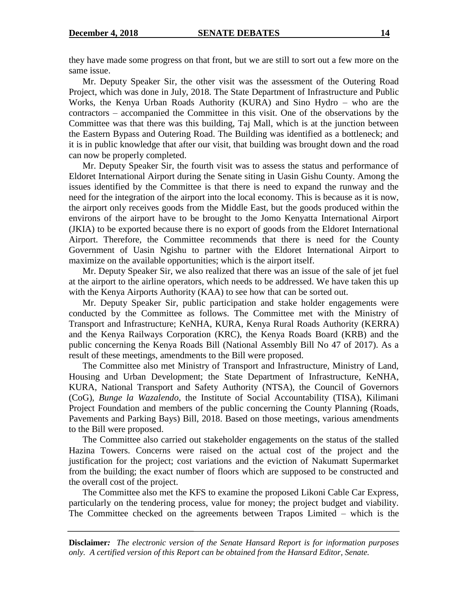they have made some progress on that front, but we are still to sort out a few more on the same issue.

Mr. Deputy Speaker Sir, the other visit was the assessment of the Outering Road Project, which was done in July, 2018. The State Department of Infrastructure and Public Works, the Kenya Urban Roads Authority (KURA) and Sino Hydro – who are the contractors – accompanied the Committee in this visit. One of the observations by the Committee was that there was this building, Taj Mall, which is at the junction between the Eastern Bypass and Outering Road. The Building was identified as a bottleneck; and it is in public knowledge that after our visit, that building was brought down and the road can now be properly completed.

Mr. Deputy Speaker Sir, the fourth visit was to assess the status and performance of Eldoret International Airport during the Senate siting in Uasin Gishu County. Among the issues identified by the Committee is that there is need to expand the runway and the need for the integration of the airport into the local economy. This is because as it is now, the airport only receives goods from the Middle East, but the goods produced within the environs of the airport have to be brought to the Jomo Kenyatta International Airport (JKIA) to be exported because there is no export of goods from the Eldoret International Airport. Therefore, the Committee recommends that there is need for the County Government of Uasin Ngishu to partner with the Eldoret International Airport to maximize on the available opportunities; which is the airport itself.

Mr. Deputy Speaker Sir, we also realized that there was an issue of the sale of jet fuel at the airport to the airline operators, which needs to be addressed. We have taken this up with the Kenya Airports Authority (KAA) to see how that can be sorted out.

Mr. Deputy Speaker Sir, public participation and stake holder engagements were conducted by the Committee as follows. The Committee met with the Ministry of Transport and Infrastructure; KeNHA, KURA, Kenya Rural Roads Authority (KERRA) and the Kenya Railways Corporation (KRC), the Kenya Roads Board (KRB) and the public concerning the Kenya Roads Bill (National Assembly Bill No 47 of 2017). As a result of these meetings, amendments to the Bill were proposed.

The Committee also met Ministry of Transport and Infrastructure, Ministry of Land, Housing and Urban Development; the State Department of Infrastructure, KeNHA, KURA, National Transport and Safety Authority (NTSA), the Council of Governors (CoG), *Bunge la Wazalendo*, the Institute of Social Accountability (TISA), Kilimani Project Foundation and members of the public concerning the County Planning (Roads, Pavements and Parking Bays) Bill, 2018. Based on those meetings, various amendments to the Bill were proposed.

The Committee also carried out stakeholder engagements on the status of the stalled Hazina Towers. Concerns were raised on the actual cost of the project and the justification for the project; cost variations and the eviction of Nakumatt Supermarket from the building; the exact number of floors which are supposed to be constructed and the overall cost of the project.

The Committee also met the KFS to examine the proposed Likoni Cable Car Express, particularly on the tendering process, value for money; the project budget and viability. The Committee checked on the agreements between Trapos Limited – which is the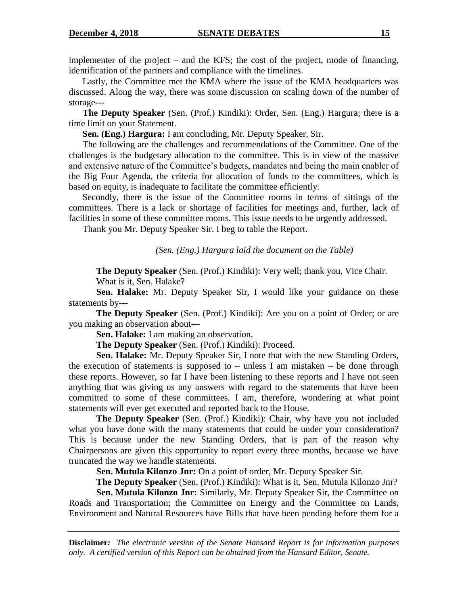implementer of the project – and the KFS; the cost of the project, mode of financing, identification of the partners and compliance with the timelines.

Lastly, the Committee met the KMA where the issue of the KMA headquarters was discussed. Along the way, there was some discussion on scaling down of the number of storage---

**The Deputy Speaker** (Sen. (Prof.) Kindiki): Order, Sen. (Eng.) Hargura; there is a time limit on your Statement.

**Sen. (Eng.) Hargura:** I am concluding, Mr. Deputy Speaker, Sir.

The following are the challenges and recommendations of the Committee. One of the challenges is the budgetary allocation to the committee. This is in view of the massive and extensive nature of the Committee"s budgets, mandates and being the main enabler of the Big Four Agenda, the criteria for allocation of funds to the committees, which is based on equity, is inadequate to facilitate the committee efficiently.

Secondly, there is the issue of the Committee rooms in terms of sittings of the committees. There is a lack or shortage of facilities for meetings and, further, lack of facilities in some of these committee rooms. This issue needs to be urgently addressed.

Thank you Mr. Deputy Speaker Sir. I beg to table the Report.

*(Sen. (Eng.) Hargura laid the document on the Table)*

**The Deputy Speaker** (Sen. (Prof.) Kindiki): Very well; thank you, Vice Chair. What is it, Sen. Halake?

**Sen. Halake:** Mr. Deputy Speaker Sir, I would like your guidance on these statements by---

**The Deputy Speaker** (Sen. (Prof.) Kindiki): Are you on a point of Order; or are you making an observation about---

**Sen. Halake:** I am making an observation.

**The Deputy Speaker** (Sen. (Prof.) Kindiki): Proceed.

**Sen. Halake:** Mr. Deputy Speaker Sir, I note that with the new Standing Orders, the execution of statements is supposed to  $-$  unless I am mistaken  $-$  be done through these reports. However, so far I have been listening to these reports and I have not seen anything that was giving us any answers with regard to the statements that have been committed to some of these committees. I am, therefore, wondering at what point statements will ever get executed and reported back to the House.

**The Deputy Speaker** (Sen. (Prof.) Kindiki): Chair, why have you not included what you have done with the many statements that could be under your consideration? This is because under the new Standing Orders, that is part of the reason why Chairpersons are given this opportunity to report every three months, because we have truncated the way we handle statements.

**Sen. Mutula Kilonzo Jnr:** On a point of order, Mr. Deputy Speaker Sir.

**The Deputy Speaker** (Sen. (Prof.) Kindiki): What is it, Sen. Mutula Kilonzo Jnr?

**Sen. Mutula Kilonzo Jnr:** Similarly, Mr. Deputy Speaker Sir, the Committee on Roads and Transportation; the Committee on Energy and the Committee on Lands, Environment and Natural Resources have Bills that have been pending before them for a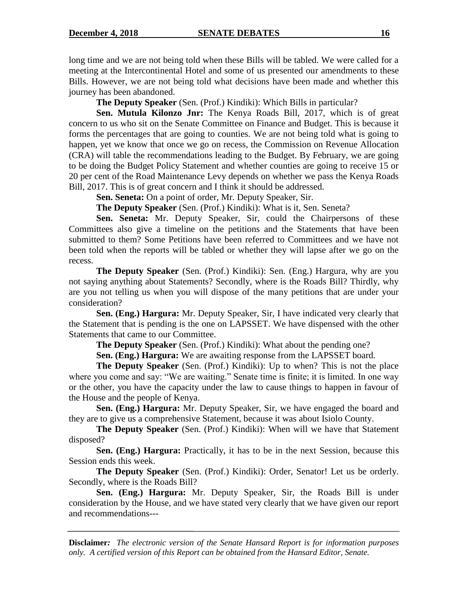long time and we are not being told when these Bills will be tabled. We were called for a meeting at the Intercontinental Hotel and some of us presented our amendments to these Bills. However, we are not being told what decisions have been made and whether this journey has been abandoned.

**The Deputy Speaker** (Sen. (Prof.) Kindiki): Which Bills in particular?

**Sen. Mutula Kilonzo Jnr:** The Kenya Roads Bill, 2017, which is of great concern to us who sit on the Senate Committee on Finance and Budget. This is because it forms the percentages that are going to counties. We are not being told what is going to happen, yet we know that once we go on recess, the Commission on Revenue Allocation (CRA) will table the recommendations leading to the Budget. By February, we are going to be doing the Budget Policy Statement and whether counties are going to receive 15 or 20 per cent of the Road Maintenance Levy depends on whether we pass the Kenya Roads Bill, 2017. This is of great concern and I think it should be addressed.

**Sen. Seneta:** On a point of order, Mr. Deputy Speaker, Sir.

**The Deputy Speaker** (Sen. (Prof.) Kindiki): What is it, Sen. Seneta?

**Sen. Seneta:** Mr. Deputy Speaker, Sir, could the Chairpersons of these Committees also give a timeline on the petitions and the Statements that have been submitted to them? Some Petitions have been referred to Committees and we have not been told when the reports will be tabled or whether they will lapse after we go on the recess.

**The Deputy Speaker** (Sen. (Prof.) Kindiki): Sen. (Eng.) Hargura, why are you not saying anything about Statements? Secondly, where is the Roads Bill? Thirdly, why are you not telling us when you will dispose of the many petitions that are under your consideration?

**Sen. (Eng.) Hargura:** Mr. Deputy Speaker, Sir, I have indicated very clearly that the Statement that is pending is the one on LAPSSET. We have dispensed with the other Statements that came to our Committee.

**The Deputy Speaker** (Sen. (Prof.) Kindiki): What about the pending one?

**Sen. (Eng.) Hargura:** We are awaiting response from the LAPSSET board.

**The Deputy Speaker** (Sen. (Prof.) Kindiki): Up to when? This is not the place where you come and say: "We are waiting." Senate time is finite; it is limited. In one way or the other, you have the capacity under the law to cause things to happen in favour of the House and the people of Kenya.

**Sen. (Eng.) Hargura:** Mr. Deputy Speaker, Sir, we have engaged the board and they are to give us a comprehensive Statement, because it was about Isiolo County.

**The Deputy Speaker** *(Sen. (Prof.)* Kindiki): When will we have that Statement disposed?

**Sen. (Eng.) Hargura:** Practically, it has to be in the next Session, because this Session ends this week.

**The Deputy Speaker** (Sen. (Prof.) Kindiki): Order, Senator! Let us be orderly. Secondly, where is the Roads Bill?

**Sen. (Eng.) Hargura:** Mr. Deputy Speaker, Sir, the Roads Bill is under consideration by the House, and we have stated very clearly that we have given our report and recommendations---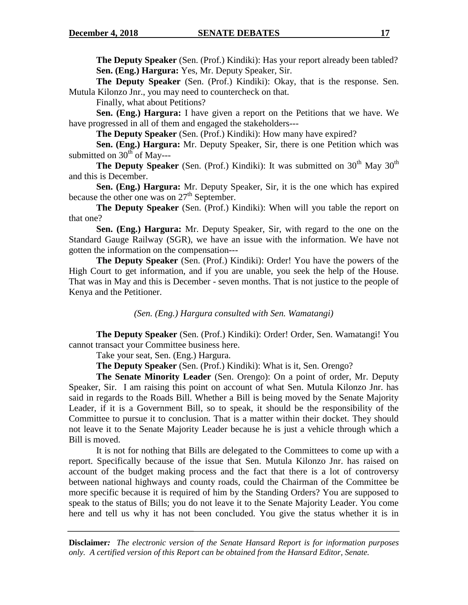**The Deputy Speaker** (Sen. (Prof.) Kindiki): Has your report already been tabled? **Sen. (Eng.) Hargura:** Yes, Mr. Deputy Speaker, Sir.

**The Deputy Speaker** (Sen. (Prof.) Kindiki): Okay, that is the response. Sen. Mutula Kilonzo Jnr., you may need to countercheck on that.

Finally, what about Petitions?

**Sen. (Eng.) Hargura:** I have given a report on the Petitions that we have. We have progressed in all of them and engaged the stakeholders---

**The Deputy Speaker** (Sen. (Prof.) Kindiki): How many have expired?

**Sen. (Eng.) Hargura:** Mr. Deputy Speaker, Sir, there is one Petition which was submitted on  $30<sup>th</sup>$  of May---

**The Deputy Speaker** (Sen. (Prof.) Kindiki): It was submitted on  $30<sup>th</sup>$  May  $30<sup>th</sup>$ and this is December.

**Sen. (Eng.) Hargura:** Mr. Deputy Speaker, Sir, it is the one which has expired because the other one was on 27<sup>th</sup> September.

**The Deputy Speaker** (Sen. (Prof.) Kindiki): When will you table the report on that one?

**Sen. (Eng.) Hargura:** Mr. Deputy Speaker, Sir, with regard to the one on the Standard Gauge Railway (SGR), we have an issue with the information. We have not gotten the information on the compensation---

**The Deputy Speaker** (Sen. (Prof.) Kindiki): Order! You have the powers of the High Court to get information, and if you are unable, you seek the help of the House. That was in May and this is December - seven months. That is not justice to the people of Kenya and the Petitioner.

*(Sen. (Eng.) Hargura consulted with Sen. Wamatangi)*

**The Deputy Speaker** (Sen. (Prof.) Kindiki): Order! Order, Sen. Wamatangi! You cannot transact your Committee business here.

Take your seat, Sen. (Eng.) Hargura.

**The Deputy Speaker** (Sen. (Prof.) Kindiki): What is it, Sen. Orengo?

**The Senate Minority Leader** (Sen. Orengo): On a point of order, Mr. Deputy Speaker, Sir. I am raising this point on account of what Sen. Mutula Kilonzo Jnr. has said in regards to the Roads Bill. Whether a Bill is being moved by the Senate Majority Leader, if it is a Government Bill, so to speak, it should be the responsibility of the Committee to pursue it to conclusion. That is a matter within their docket. They should not leave it to the Senate Majority Leader because he is just a vehicle through which a Bill is moved.

It is not for nothing that Bills are delegated to the Committees to come up with a report. Specifically because of the issue that Sen. Mutula Kilonzo Jnr. has raised on account of the budget making process and the fact that there is a lot of controversy between national highways and county roads, could the Chairman of the Committee be more specific because it is required of him by the Standing Orders? You are supposed to speak to the status of Bills; you do not leave it to the Senate Majority Leader. You come here and tell us why it has not been concluded. You give the status whether it is in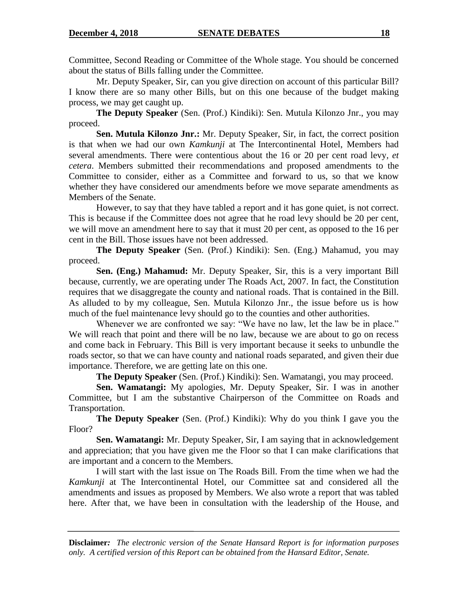Committee, Second Reading or Committee of the Whole stage. You should be concerned about the status of Bills falling under the Committee.

Mr. Deputy Speaker, Sir, can you give direction on account of this particular Bill? I know there are so many other Bills, but on this one because of the budget making process, we may get caught up.

**The Deputy Speaker** (Sen. (Prof.) Kindiki): Sen. Mutula Kilonzo Jnr., you may proceed.

**Sen. Mutula Kilonzo Jnr.:** Mr. Deputy Speaker, Sir, in fact, the correct position is that when we had our own *Kamkunji* at The Intercontinental Hotel, Members had several amendments. There were contentious about the 16 or 20 per cent road levy*, et cetera*. Members submitted their recommendations and proposed amendments to the Committee to consider, either as a Committee and forward to us, so that we know whether they have considered our amendments before we move separate amendments as Members of the Senate.

However, to say that they have tabled a report and it has gone quiet, is not correct. This is because if the Committee does not agree that he road levy should be 20 per cent, we will move an amendment here to say that it must 20 per cent, as opposed to the 16 per cent in the Bill. Those issues have not been addressed.

**The Deputy Speaker** (Sen. (Prof.) Kindiki): Sen. (Eng.) Mahamud, you may proceed.

**Sen. (Eng.) Mahamud:** Mr. Deputy Speaker, Sir, this is a very important Bill because, currently, we are operating under The Roads Act, 2007. In fact, the Constitution requires that we disaggregate the county and national roads. That is contained in the Bill. As alluded to by my colleague, Sen. Mutula Kilonzo Jnr., the issue before us is how much of the fuel maintenance levy should go to the counties and other authorities.

Whenever we are confronted we say: "We have no law, let the law be in place." We will reach that point and there will be no law, because we are about to go on recess and come back in February. This Bill is very important because it seeks to unbundle the roads sector, so that we can have county and national roads separated, and given their due importance. Therefore, we are getting late on this one.

**The Deputy Speaker** (Sen. (Prof.) Kindiki): Sen. Wamatangi, you may proceed.

**Sen. Wamatangi:** My apologies, Mr. Deputy Speaker, Sir. I was in another Committee, but I am the substantive Chairperson of the Committee on Roads and Transportation.

**The Deputy Speaker** (Sen. (Prof.) Kindiki): Why do you think I gave you the Floor?

**Sen. Wamatangi:** Mr. Deputy Speaker, Sir, I am saying that in acknowledgement and appreciation; that you have given me the Floor so that I can make clarifications that are important and a concern to the Members.

I will start with the last issue on The Roads Bill. From the time when we had the *Kamkunji* at The Intercontinental Hotel, our Committee sat and considered all the amendments and issues as proposed by Members. We also wrote a report that was tabled here. After that, we have been in consultation with the leadership of the House, and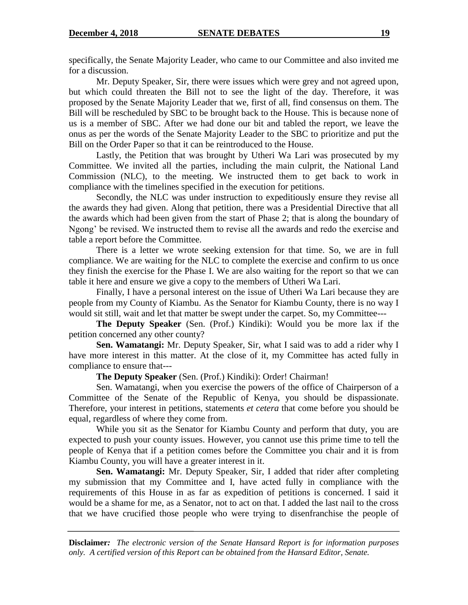specifically, the Senate Majority Leader, who came to our Committee and also invited me for a discussion.

Mr. Deputy Speaker, Sir, there were issues which were grey and not agreed upon, but which could threaten the Bill not to see the light of the day. Therefore, it was proposed by the Senate Majority Leader that we, first of all, find consensus on them. The Bill will be rescheduled by SBC to be brought back to the House. This is because none of us is a member of SBC. After we had done our bit and tabled the report, we leave the onus as per the words of the Senate Majority Leader to the SBC to prioritize and put the Bill on the Order Paper so that it can be reintroduced to the House.

Lastly, the Petition that was brought by Utheri Wa Lari was prosecuted by my Committee. We invited all the parties, including the main culprit, the National Land Commission (NLC), to the meeting. We instructed them to get back to work in compliance with the timelines specified in the execution for petitions.

Secondly, the NLC was under instruction to expeditiously ensure they revise all the awards they had given. Along that petition, there was a Presidential Directive that all the awards which had been given from the start of Phase 2; that is along the boundary of Ngong" be revised. We instructed them to revise all the awards and redo the exercise and table a report before the Committee.

There is a letter we wrote seeking extension for that time. So, we are in full compliance. We are waiting for the NLC to complete the exercise and confirm to us once they finish the exercise for the Phase I. We are also waiting for the report so that we can table it here and ensure we give a copy to the members of Utheri Wa Lari.

Finally, I have a personal interest on the issue of Utheri Wa Lari because they are people from my County of Kiambu. As the Senator for Kiambu County, there is no way I would sit still, wait and let that matter be swept under the carpet. So, my Committee---

**The Deputy Speaker** (Sen. (Prof.) Kindiki): Would you be more lax if the petition concerned any other county?

**Sen. Wamatangi:** Mr. Deputy Speaker, Sir, what I said was to add a rider why I have more interest in this matter. At the close of it, my Committee has acted fully in compliance to ensure that---

**The Deputy Speaker** (Sen. (Prof.) Kindiki): Order! Chairman!

Sen. Wamatangi, when you exercise the powers of the office of Chairperson of a Committee of the Senate of the Republic of Kenya, you should be dispassionate. Therefore, your interest in petitions, statements *et cetera* that come before you should be equal, regardless of where they come from.

While you sit as the Senator for Kiambu County and perform that duty, you are expected to push your county issues. However, you cannot use this prime time to tell the people of Kenya that if a petition comes before the Committee you chair and it is from Kiambu County, you will have a greater interest in it.

**Sen. Wamatangi:** Mr. Deputy Speaker, Sir, I added that rider after completing my submission that my Committee and I, have acted fully in compliance with the requirements of this House in as far as expedition of petitions is concerned. I said it would be a shame for me, as a Senator, not to act on that. I added the last nail to the cross that we have crucified those people who were trying to disenfranchise the people of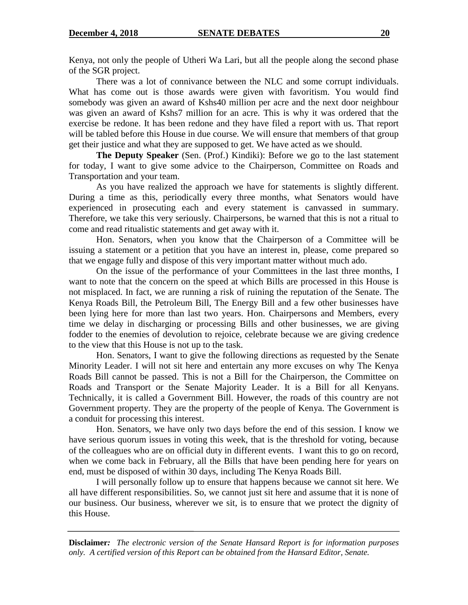Kenya, not only the people of Utheri Wa Lari, but all the people along the second phase of the SGR project.

There was a lot of connivance between the NLC and some corrupt individuals. What has come out is those awards were given with favoritism. You would find somebody was given an award of Kshs40 million per acre and the next door neighbour was given an award of Kshs7 million for an acre. This is why it was ordered that the exercise be redone. It has been redone and they have filed a report with us. That report will be tabled before this House in due course. We will ensure that members of that group get their justice and what they are supposed to get. We have acted as we should.

**The Deputy Speaker** (Sen. (Prof.) Kindiki): Before we go to the last statement for today, I want to give some advice to the Chairperson, Committee on Roads and Transportation and your team.

As you have realized the approach we have for statements is slightly different. During a time as this, periodically every three months, what Senators would have experienced in prosecuting each and every statement is canvassed in summary. Therefore, we take this very seriously. Chairpersons, be warned that this is not a ritual to come and read ritualistic statements and get away with it.

Hon. Senators, when you know that the Chairperson of a Committee will be issuing a statement or a petition that you have an interest in, please, come prepared so that we engage fully and dispose of this very important matter without much ado.

On the issue of the performance of your Committees in the last three months, I want to note that the concern on the speed at which Bills are processed in this House is not misplaced. In fact, we are running a risk of ruining the reputation of the Senate. The Kenya Roads Bill, the Petroleum Bill, The Energy Bill and a few other businesses have been lying here for more than last two years. Hon. Chairpersons and Members, every time we delay in discharging or processing Bills and other businesses, we are giving fodder to the enemies of devolution to rejoice, celebrate because we are giving credence to the view that this House is not up to the task.

Hon. Senators, I want to give the following directions as requested by the Senate Minority Leader. I will not sit here and entertain any more excuses on why The Kenya Roads Bill cannot be passed. This is not a Bill for the Chairperson, the Committee on Roads and Transport or the Senate Majority Leader. It is a Bill for all Kenyans. Technically, it is called a Government Bill. However, the roads of this country are not Government property. They are the property of the people of Kenya. The Government is a conduit for processing this interest.

Hon. Senators, we have only two days before the end of this session. I know we have serious quorum issues in voting this week, that is the threshold for voting, because of the colleagues who are on official duty in different events. I want this to go on record, when we come back in February, all the Bills that have been pending here for years on end, must be disposed of within 30 days, including The Kenya Roads Bill.

I will personally follow up to ensure that happens because we cannot sit here. We all have different responsibilities. So, we cannot just sit here and assume that it is none of our business. Our business, wherever we sit, is to ensure that we protect the dignity of this House.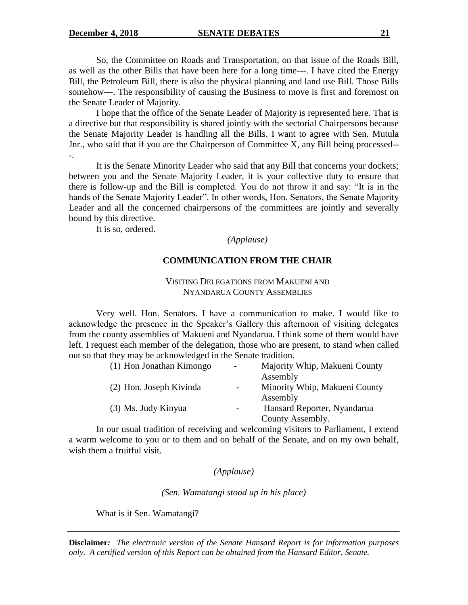So, the Committee on Roads and Transportation, on that issue of the Roads Bill, as well as the other Bills that have been here for a long time---. I have cited the Energy Bill, the Petroleum Bill, there is also the physical planning and land use Bill. Those Bills somehow---. The responsibility of causing the Business to move is first and foremost on the Senate Leader of Majority.

I hope that the office of the Senate Leader of Majority is represented here. That is a directive but that responsibility is shared jointly with the sectorial Chairpersons because the Senate Majority Leader is handling all the Bills. I want to agree with Sen. Mutula Jnr., who said that if you are the Chairperson of Committee X, any Bill being processed-- -.

It is the Senate Minority Leader who said that any Bill that concerns your dockets; between you and the Senate Majority Leader, it is your collective duty to ensure that there is follow-up and the Bill is completed. You do not throw it and say: "It is in the hands of the Senate Majority Leader". In other words, Hon. Senators, the Senate Majority Leader and all the concerned chairpersons of the committees are jointly and severally bound by this directive.

It is so, ordered.

*(Applause)*

#### **COMMUNICATION FROM THE CHAIR**

### VISITING DELEGATIONS FROM MAKUENI AND NYANDARUA COUNTY ASSEMBLIES

Very well. Hon. Senators. I have a communication to make. I would like to acknowledge the presence in the Speaker"s Gallery this afternoon of visiting delegates from the county assemblies of Makueni and Nyandarua. I think some of them would have left. I request each member of the delegation, those who are present, to stand when called out so that they may be acknowledged in the Senate tradition.

| (1) Hon Jonathan Kimongo | $\overline{\phantom{a}}$ | Majority Whip, Makueni County |
|--------------------------|--------------------------|-------------------------------|
|                          |                          | Assembly                      |
| (2) Hon. Joseph Kivinda  | $-$                      | Minority Whip, Makueni County |
|                          |                          | Assembly                      |
| (3) Ms. Judy Kinyua      |                          | Hansard Reporter, Nyandarua   |
|                          |                          | County Assembly.              |

In our usual tradition of receiving and welcoming visitors to Parliament, I extend a warm welcome to you or to them and on behalf of the Senate, and on my own behalf, wish them a fruitful visit.

#### *(Applause)*

*(Sen. Wamatangi stood up in his place)*

What is it Sen. Wamatangi?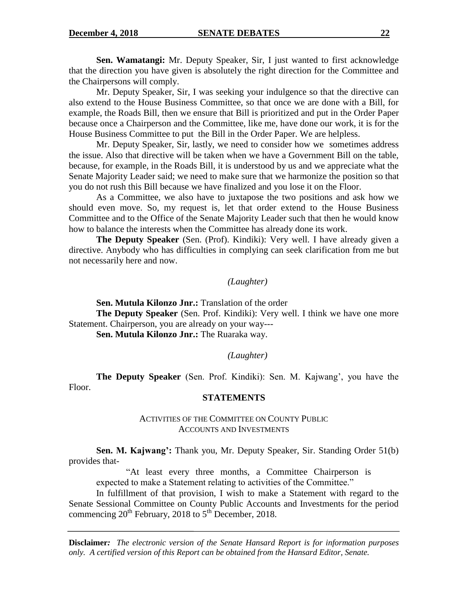**Sen. Wamatangi:** Mr. Deputy Speaker, Sir, I just wanted to first acknowledge that the direction you have given is absolutely the right direction for the Committee and the Chairpersons will comply.

Mr. Deputy Speaker, Sir, I was seeking your indulgence so that the directive can also extend to the House Business Committee, so that once we are done with a Bill, for example, the Roads Bill, then we ensure that Bill is prioritized and put in the Order Paper because once a Chairperson and the Committee, like me, have done our work, it is for the House Business Committee to put the Bill in the Order Paper. We are helpless.

Mr. Deputy Speaker, Sir, lastly, we need to consider how we sometimes address the issue. Also that directive will be taken when we have a Government Bill on the table, because, for example, in the Roads Bill, it is understood by us and we appreciate what the Senate Majority Leader said; we need to make sure that we harmonize the position so that you do not rush this Bill because we have finalized and you lose it on the Floor.

As a Committee, we also have to juxtapose the two positions and ask how we should even move. So, my request is, let that order extend to the House Business Committee and to the Office of the Senate Majority Leader such that then he would know how to balance the interests when the Committee has already done its work.

**The Deputy Speaker** (Sen. (Prof). Kindiki): Very well. I have already given a directive. Anybody who has difficulties in complying can seek clarification from me but not necessarily here and now.

*(Laughter)*

**Sen. Mutula Kilonzo Jnr.:** Translation of the order **The Deputy Speaker** (Sen. Prof. Kindiki): Very well. I think we have one more Statement. Chairperson, you are already on your way---

**Sen. Mutula Kilonzo Jnr.:** The Ruaraka way.

*(Laughter)*

**The Deputy Speaker** (Sen. Prof. Kindiki): Sen. M. Kajwang', you have the Floor.

#### **STATEMENTS**

ACTIVITIES OF THE COMMITTEE ON COUNTY PUBLIC ACCOUNTS AND INVESTMENTS

**Sen. M. Kajwang':** Thank you, Mr. Deputy Speaker, Sir. Standing Order 51(b) provides that-

"At least every three months, a Committee Chairperson is expected to make a Statement relating to activities of the Committee."

In fulfillment of that provision, I wish to make a Statement with regard to the Senate Sessional Committee on County Public Accounts and Investments for the period commencing  $20^{th}$  February, 2018 to  $5^{th}$  December, 2018.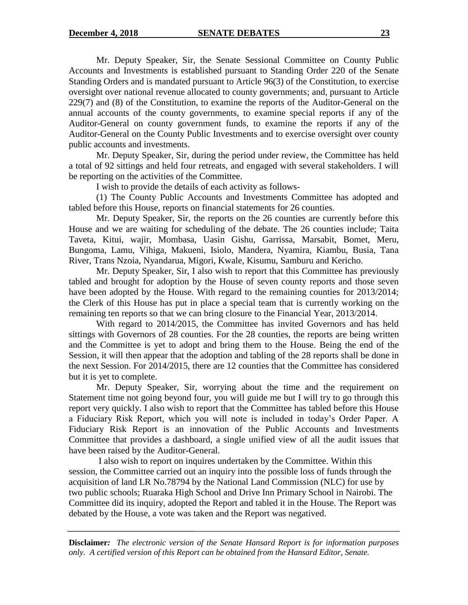Mr. Deputy Speaker, Sir, the Senate Sessional Committee on County Public Accounts and Investments is established pursuant to Standing Order 220 of the Senate Standing Orders and is mandated pursuant to Article 96(3) of the Constitution, to exercise oversight over national revenue allocated to county governments; and, pursuant to Article 229(7) and (8) of the Constitution, to examine the reports of the Auditor-General on the annual accounts of the county governments, to examine special reports if any of the Auditor-General on county government funds, to examine the reports if any of the Auditor-General on the County Public Investments and to exercise oversight over county public accounts and investments.

Mr. Deputy Speaker, Sir, during the period under review, the Committee has held a total of 92 sittings and held four retreats, and engaged with several stakeholders. I will be reporting on the activities of the Committee.

I wish to provide the details of each activity as follows-

(1) The County Public Accounts and Investments Committee has adopted and tabled before this House, reports on financial statements for 26 counties.

Mr. Deputy Speaker, Sir, the reports on the 26 counties are currently before this House and we are waiting for scheduling of the debate. The 26 counties include; Taita Taveta, Kitui, wajir, Mombasa, Uasin Gishu, Garrissa, Marsabit, Bomet, Meru, Bungoma, Lamu, Vihiga, Makueni, Isiolo, Mandera, Nyamira, Kiambu, Busia, Tana River, Trans Nzoia, Nyandarua, Migori, Kwale, Kisumu, Samburu and Kericho.

Mr. Deputy Speaker, Sir, I also wish to report that this Committee has previously tabled and brought for adoption by the House of seven county reports and those seven have been adopted by the House. With regard to the remaining counties for 2013/2014; the Clerk of this House has put in place a special team that is currently working on the remaining ten reports so that we can bring closure to the Financial Year, 2013/2014.

With regard to 2014/2015, the Committee has invited Governors and has held sittings with Governors of 28 counties. For the 28 counties, the reports are being written and the Committee is yet to adopt and bring them to the House. Being the end of the Session, it will then appear that the adoption and tabling of the 28 reports shall be done in the next Session. For 2014/2015, there are 12 counties that the Committee has considered but it is yet to complete.

Mr. Deputy Speaker, Sir, worrying about the time and the requirement on Statement time not going beyond four, you will guide me but I will try to go through this report very quickly. I also wish to report that the Committee has tabled before this House a Fiduciary Risk Report, which you will note is included in today"s Order Paper. A Fiduciary Risk Report is an innovation of the Public Accounts and Investments Committee that provides a dashboard, a single unified view of all the audit issues that have been raised by the Auditor-General.

I also wish to report on inquires undertaken by the Committee. Within this session, the Committee carried out an inquiry into the possible loss of funds through the acquisition of land LR No.78794 by the National Land Commission (NLC) for use by two public schools; Ruaraka High School and Drive Inn Primary School in Nairobi. The Committee did its inquiry, adopted the Report and tabled it in the House. The Report was debated by the House, a vote was taken and the Report was negatived.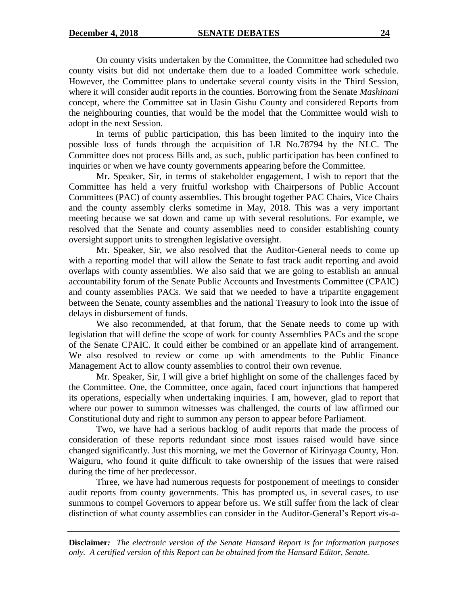On county visits undertaken by the Committee, the Committee had scheduled two county visits but did not undertake them due to a loaded Committee work schedule. However, the Committee plans to undertake several county visits in the Third Session, where it will consider audit reports in the counties. Borrowing from the Senate *Mashinani* concept, where the Committee sat in Uasin Gishu County and considered Reports from the neighbouring counties, that would be the model that the Committee would wish to adopt in the next Session.

In terms of public participation, this has been limited to the inquiry into the possible loss of funds through the acquisition of LR No.78794 by the NLC. The Committee does not process Bills and, as such, public participation has been confined to inquiries or when we have county governments appearing before the Committee.

Mr. Speaker, Sir, in terms of stakeholder engagement, I wish to report that the Committee has held a very fruitful workshop with Chairpersons of Public Account Committees (PAC) of county assemblies. This brought together PAC Chairs, Vice Chairs and the county assembly clerks sometime in May, 2018. This was a very important meeting because we sat down and came up with several resolutions. For example, we resolved that the Senate and county assemblies need to consider establishing county oversight support units to strengthen legislative oversight.

Mr. Speaker, Sir, we also resolved that the Auditor-General needs to come up with a reporting model that will allow the Senate to fast track audit reporting and avoid overlaps with county assemblies. We also said that we are going to establish an annual accountability forum of the Senate Public Accounts and Investments Committee (CPAIC) and county assemblies PACs. We said that we needed to have a tripartite engagement between the Senate, county assemblies and the national Treasury to look into the issue of delays in disbursement of funds.

We also recommended, at that forum, that the Senate needs to come up with legislation that will define the scope of work for county Assemblies PACs and the scope of the Senate CPAIC. It could either be combined or an appellate kind of arrangement. We also resolved to review or come up with amendments to the Public Finance Management Act to allow county assemblies to control their own revenue.

Mr. Speaker, Sir, I will give a brief highlight on some of the challenges faced by the Committee. One, the Committee, once again, faced court injunctions that hampered its operations, especially when undertaking inquiries. I am, however, glad to report that where our power to summon witnesses was challenged, the courts of law affirmed our Constitutional duty and right to summon any person to appear before Parliament.

Two, we have had a serious backlog of audit reports that made the process of consideration of these reports redundant since most issues raised would have since changed significantly. Just this morning, we met the Governor of Kirinyaga County, Hon. Waiguru, who found it quite difficult to take ownership of the issues that were raised during the time of her predecessor.

Three, we have had numerous requests for postponement of meetings to consider audit reports from county governments. This has prompted us, in several cases, to use summons to compel Governors to appear before us. We still suffer from the lack of clear distinction of what county assemblies can consider in the Auditor-General"s Report *vis-a-*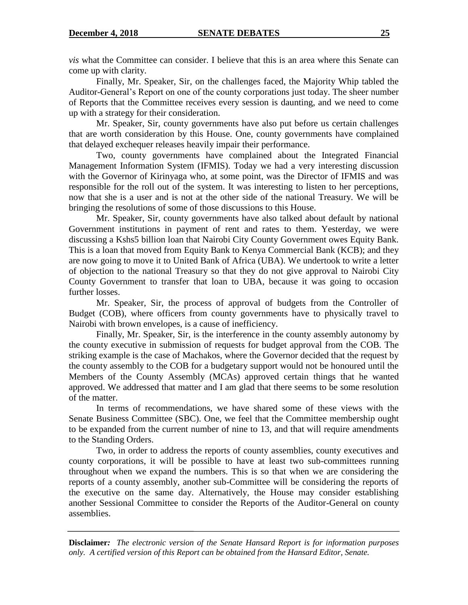*vis* what the Committee can consider. I believe that this is an area where this Senate can come up with clarity.

Finally, Mr. Speaker, Sir, on the challenges faced, the Majority Whip tabled the Auditor-General"s Report on one of the county corporations just today. The sheer number of Reports that the Committee receives every session is daunting, and we need to come up with a strategy for their consideration.

Mr. Speaker, Sir, county governments have also put before us certain challenges that are worth consideration by this House. One, county governments have complained that delayed exchequer releases heavily impair their performance.

Two, county governments have complained about the Integrated Financial Management Information System (IFMIS). Today we had a very interesting discussion with the Governor of Kirinyaga who, at some point, was the Director of IFMIS and was responsible for the roll out of the system. It was interesting to listen to her perceptions, now that she is a user and is not at the other side of the national Treasury. We will be bringing the resolutions of some of those discussions to this House.

Mr. Speaker, Sir, county governments have also talked about default by national Government institutions in payment of rent and rates to them. Yesterday, we were discussing a Kshs5 billion loan that Nairobi City County Government owes Equity Bank. This is a loan that moved from Equity Bank to Kenya Commercial Bank (KCB); and they are now going to move it to United Bank of Africa (UBA). We undertook to write a letter of objection to the national Treasury so that they do not give approval to Nairobi City County Government to transfer that loan to UBA, because it was going to occasion further losses.

Mr. Speaker, Sir, the process of approval of budgets from the Controller of Budget (COB), where officers from county governments have to physically travel to Nairobi with brown envelopes, is a cause of inefficiency.

Finally, Mr. Speaker, Sir, is the interference in the county assembly autonomy by the county executive in submission of requests for budget approval from the COB. The striking example is the case of Machakos, where the Governor decided that the request by the county assembly to the COB for a budgetary support would not be honoured until the Members of the County Assembly (MCAs) approved certain things that he wanted approved. We addressed that matter and I am glad that there seems to be some resolution of the matter.

In terms of recommendations, we have shared some of these views with the Senate Business Committee (SBC). One, we feel that the Committee membership ought to be expanded from the current number of nine to 13, and that will require amendments to the Standing Orders.

Two, in order to address the reports of county assemblies, county executives and county corporations, it will be possible to have at least two sub-committees running throughout when we expand the numbers. This is so that when we are considering the reports of a county assembly, another sub-Committee will be considering the reports of the executive on the same day. Alternatively, the House may consider establishing another Sessional Committee to consider the Reports of the Auditor-General on county assemblies.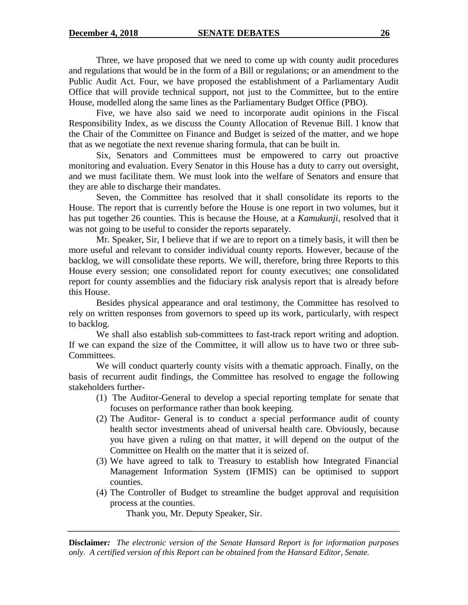Three, we have proposed that we need to come up with county audit procedures and regulations that would be in the form of a Bill or regulations; or an amendment to the Public Audit Act. Four, we have proposed the establishment of a Parliamentary Audit Office that will provide technical support, not just to the Committee, but to the entire House, modelled along the same lines as the Parliamentary Budget Office (PBO).

Five, we have also said we need to incorporate audit opinions in the Fiscal Responsibility Index, as we discuss the County Allocation of Revenue Bill. I know that the Chair of the Committee on Finance and Budget is seized of the matter, and we hope that as we negotiate the next revenue sharing formula, that can be built in.

Six, Senators and Committees must be empowered to carry out proactive monitoring and evaluation. Every Senator in this House has a duty to carry out oversight, and we must facilitate them. We must look into the welfare of Senators and ensure that they are able to discharge their mandates.

Seven, the Committee has resolved that it shall consolidate its reports to the House. The report that is currently before the House is one report in two volumes, but it has put together 26 counties. This is because the House, at a *Kamukunji,* resolved that it was not going to be useful to consider the reports separately.

Mr. Speaker, Sir, I believe that if we are to report on a timely basis, it will then be more useful and relevant to consider individual county reports. However, because of the backlog, we will consolidate these reports. We will, therefore, bring three Reports to this House every session; one consolidated report for county executives; one consolidated report for county assemblies and the fiduciary risk analysis report that is already before this House.

Besides physical appearance and oral testimony, the Committee has resolved to rely on written responses from governors to speed up its work, particularly, with respect to backlog.

We shall also establish sub-committees to fast-track report writing and adoption. If we can expand the size of the Committee, it will allow us to have two or three sub-Committees.

We will conduct quarterly county visits with a thematic approach. Finally, on the basis of recurrent audit findings, the Committee has resolved to engage the following stakeholders further-

- (1) The Auditor-General to develop a special reporting template for senate that focuses on performance rather than book keeping.
- (2) The Auditor- General is to conduct a special performance audit of county health sector investments ahead of universal health care. Obviously, because you have given a ruling on that matter, it will depend on the output of the Committee on Health on the matter that it is seized of.
- (3) We have agreed to talk to Treasury to establish how Integrated Financial Management Information System (IFMIS) can be optimised to support counties.
- (4) The Controller of Budget to streamline the budget approval and requisition process at the counties.

Thank you, Mr. Deputy Speaker, Sir.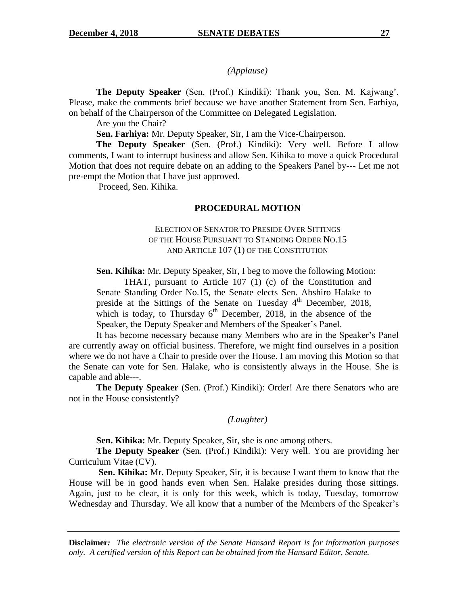*(Applause)*

**The Deputy Speaker** (Sen. (Prof.) Kindiki): Thank you, Sen. M. Kajwang". Please, make the comments brief because we have another Statement from Sen. Farhiya, on behalf of the Chairperson of the Committee on Delegated Legislation.

Are you the Chair?

**Sen. Farhiya:** Mr. Deputy Speaker, Sir, I am the Vice-Chairperson.

**The Deputy Speaker** (Sen. (Prof.) Kindiki): Very well. Before I allow comments, I want to interrupt business and allow Sen. Kihika to move a quick Procedural Motion that does not require debate on an adding to the Speakers Panel by--- Let me not pre-empt the Motion that I have just approved.

Proceed, Sen. Kihika.

#### **PROCEDURAL MOTION**

### ELECTION OF SENATOR TO PRESIDE OVER SITTINGS OF THE HOUSE PURSUANT TO STANDING ORDER NO.15 AND ARTICLE 107 (1) OF THE CONSTITUTION

**Sen. Kihika:** Mr. Deputy Speaker, Sir, I beg to move the following Motion:

THAT, pursuant to Article 107 (1) (c) of the Constitution and Senate Standing Order No.15, the Senate elects Sen. Abshiro Halake to preside at the Sittings of the Senate on Tuesday 4<sup>th</sup> December, 2018, which is today, to Thursday  $6<sup>th</sup>$  December, 2018, in the absence of the Speaker, the Deputy Speaker and Members of the Speaker"s Panel.

It has become necessary because many Members who are in the Speaker"s Panel are currently away on official business. Therefore, we might find ourselves in a position where we do not have a Chair to preside over the House. I am moving this Motion so that the Senate can vote for Sen. Halake, who is consistently always in the House. She is capable and able---.

**The Deputy Speaker** (Sen. (Prof.) Kindiki): Order! Are there Senators who are not in the House consistently?

#### *(Laughter)*

**Sen. Kihika:** Mr. Deputy Speaker, Sir, she is one among others.

**The Deputy Speaker** (Sen. (Prof.) Kindiki): Very well. You are providing her Curriculum Vitae (CV).

**Sen. Kihika:** Mr. Deputy Speaker, Sir, it is because I want them to know that the House will be in good hands even when Sen. Halake presides during those sittings. Again, just to be clear, it is only for this week, which is today, Tuesday, tomorrow Wednesday and Thursday. We all know that a number of the Members of the Speaker"s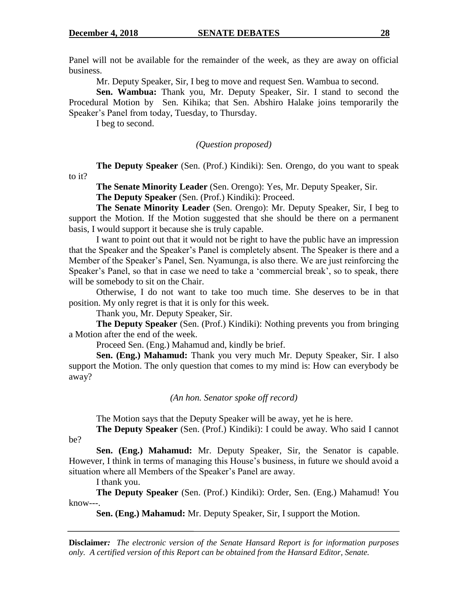Panel will not be available for the remainder of the week, as they are away on official business.

Mr. Deputy Speaker, Sir, I beg to move and request Sen. Wambua to second.

**Sen. Wambua:** Thank you, Mr. Deputy Speaker, Sir. I stand to second the Procedural Motion by Sen. Kihika; that Sen. Abshiro Halake joins temporarily the Speaker"s Panel from today, Tuesday, to Thursday.

I beg to second.

*(Question proposed)*

**The Deputy Speaker** (Sen. (Prof.) Kindiki): Sen. Orengo, do you want to speak to it?

**The Senate Minority Leader** (Sen. Orengo): Yes, Mr. Deputy Speaker, Sir.

**The Deputy Speaker** (Sen. (Prof.) Kindiki): Proceed.

**The Senate Minority Leader** (Sen. Orengo): Mr. Deputy Speaker, Sir, I beg to support the Motion. If the Motion suggested that she should be there on a permanent basis, I would support it because she is truly capable.

I want to point out that it would not be right to have the public have an impression that the Speaker and the Speaker"s Panel is completely absent. The Speaker is there and a Member of the Speaker"s Panel, Sen. Nyamunga, is also there. We are just reinforcing the Speaker's Panel, so that in case we need to take a 'commercial break', so to speak, there will be somebody to sit on the Chair.

Otherwise, I do not want to take too much time. She deserves to be in that position. My only regret is that it is only for this week.

Thank you, Mr. Deputy Speaker, Sir.

**The Deputy Speaker** (Sen. (Prof.) Kindiki): Nothing prevents you from bringing a Motion after the end of the week.

Proceed Sen. (Eng.) Mahamud and, kindly be brief.

**Sen. (Eng.) Mahamud:** Thank you very much Mr. Deputy Speaker, Sir. I also support the Motion. The only question that comes to my mind is: How can everybody be away?

### *(An hon. Senator spoke off record)*

The Motion says that the Deputy Speaker will be away, yet he is here.

**The Deputy Speaker** (Sen. (Prof.) Kindiki): I could be away. Who said I cannot

be?

**Sen. (Eng.) Mahamud:** Mr. Deputy Speaker, Sir, the Senator is capable. However, I think in terms of managing this House's business, in future we should avoid a situation where all Members of the Speaker's Panel are away.

I thank you.

**The Deputy Speaker** (Sen. (Prof.) Kindiki): Order, Sen. (Eng.) Mahamud! You know---.

**Sen. (Eng.) Mahamud:** Mr. Deputy Speaker, Sir, I support the Motion.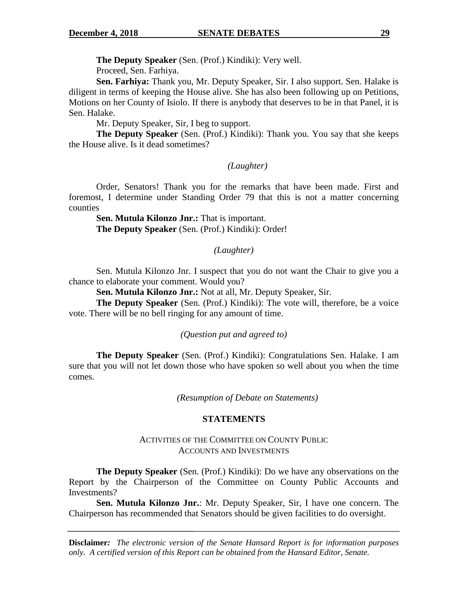**The Deputy Speaker** (Sen. (Prof.) Kindiki): Very well.

Proceed, Sen. Farhiya.

**Sen. Farhiya:** Thank you, Mr. Deputy Speaker, Sir. I also support. Sen. Halake is diligent in terms of keeping the House alive. She has also been following up on Petitions, Motions on her County of Isiolo. If there is anybody that deserves to be in that Panel, it is Sen. Halake.

Mr. Deputy Speaker, Sir, I beg to support.

**The Deputy Speaker** (Sen. (Prof.) Kindiki): Thank you. You say that she keeps the House alive. Is it dead sometimes?

### *(Laughter)*

Order, Senators! Thank you for the remarks that have been made. First and foremost, I determine under Standing Order 79 that this is not a matter concerning counties

**Sen. Mutula Kilonzo Jnr.:** That is important. **The Deputy Speaker** (Sen. (Prof.) Kindiki): Order!

### *(Laughter)*

Sen. Mutula Kilonzo Jnr. I suspect that you do not want the Chair to give you a chance to elaborate your comment. Would you?

**Sen. Mutula Kilonzo Jnr.:** Not at all, Mr. Deputy Speaker, Sir.

**The Deputy Speaker** (Sen. (Prof.) Kindiki): The vote will, therefore, be a voice vote. There will be no bell ringing for any amount of time.

### *(Question put and agreed to)*

**The Deputy Speaker** (Sen. (Prof.) Kindiki): Congratulations Sen. Halake. I am sure that you will not let down those who have spoken so well about you when the time comes.

*(Resumption of Debate on Statements)*

### **STATEMENTS**

### ACTIVITIES OF THE COMMITTEE ON COUNTY PUBLIC ACCOUNTS AND INVESTMENTS

**The Deputy Speaker** (Sen. (Prof.) Kindiki): Do we have any observations on the Report by the Chairperson of the Committee on County Public Accounts and Investments?

**Sen. Mutula Kilonzo Jnr.**: Mr. Deputy Speaker, Sir, I have one concern. The Chairperson has recommended that Senators should be given facilities to do oversight.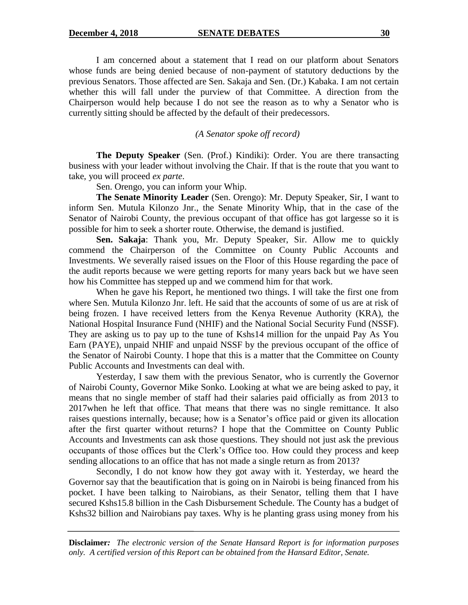I am concerned about a statement that I read on our platform about Senators whose funds are being denied because of non-payment of statutory deductions by the previous Senators. Those affected are Sen. Sakaja and Sen. (Dr.) Kabaka. I am not certain whether this will fall under the purview of that Committee. A direction from the Chairperson would help because I do not see the reason as to why a Senator who is currently sitting should be affected by the default of their predecessors.

*(A Senator spoke off record)*

**The Deputy Speaker** (Sen. (Prof.) Kindiki): Order. You are there transacting business with your leader without involving the Chair. If that is the route that you want to take, you will proceed *ex parte*.

Sen. Orengo, you can inform your Whip.

**The Senate Minority Leader** (Sen. Orengo): Mr. Deputy Speaker, Sir, I want to inform Sen. Mutula Kilonzo Jnr., the Senate Minority Whip, that in the case of the Senator of Nairobi County, the previous occupant of that office has got largesse so it is possible for him to seek a shorter route. Otherwise, the demand is justified.

**Sen. Sakaja**: Thank you, Mr. Deputy Speaker, Sir. Allow me to quickly commend the Chairperson of the Committee on County Public Accounts and Investments. We severally raised issues on the Floor of this House regarding the pace of the audit reports because we were getting reports for many years back but we have seen how his Committee has stepped up and we commend him for that work.

When he gave his Report, he mentioned two things. I will take the first one from where Sen. Mutula Kilonzo Jnr. left. He said that the accounts of some of us are at risk of being frozen. I have received letters from the Kenya Revenue Authority (KRA), the National Hospital Insurance Fund (NHIF) and the National Social Security Fund (NSSF). They are asking us to pay up to the tune of Kshs14 million for the unpaid Pay As You Earn (PAYE), unpaid NHIF and unpaid NSSF by the previous occupant of the office of the Senator of Nairobi County. I hope that this is a matter that the Committee on County Public Accounts and Investments can deal with.

Yesterday, I saw them with the previous Senator, who is currently the Governor of Nairobi County, Governor Mike Sonko. Looking at what we are being asked to pay, it means that no single member of staff had their salaries paid officially as from 2013 to 2017when he left that office. That means that there was no single remittance. It also raises questions internally, because; how is a Senator"s office paid or given its allocation after the first quarter without returns? I hope that the Committee on County Public Accounts and Investments can ask those questions. They should not just ask the previous occupants of those offices but the Clerk"s Office too. How could they process and keep sending allocations to an office that has not made a single return as from 2013?

Secondly, I do not know how they got away with it. Yesterday, we heard the Governor say that the beautification that is going on in Nairobi is being financed from his pocket. I have been talking to Nairobians, as their Senator, telling them that I have secured Kshs15.8 billion in the Cash Disbursement Schedule. The County has a budget of Kshs32 billion and Nairobians pay taxes. Why is he planting grass using money from his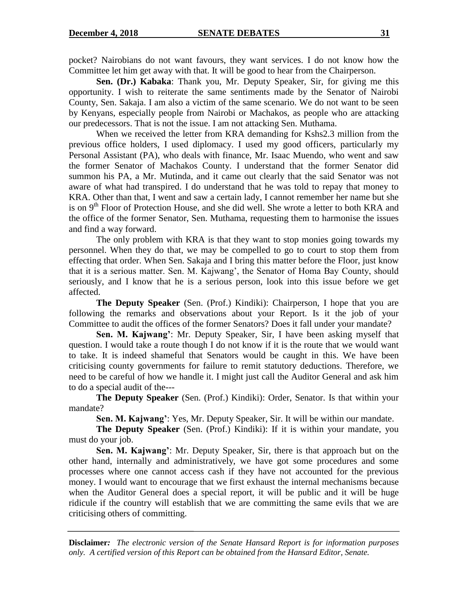pocket? Nairobians do not want favours, they want services. I do not know how the Committee let him get away with that. It will be good to hear from the Chairperson.

**Sen. (Dr.) Kabaka**: Thank you, Mr. Deputy Speaker, Sir, for giving me this opportunity. I wish to reiterate the same sentiments made by the Senator of Nairobi County, Sen. Sakaja. I am also a victim of the same scenario. We do not want to be seen by Kenyans, especially people from Nairobi or Machakos, as people who are attacking our predecessors. That is not the issue. I am not attacking Sen. Muthama.

When we received the letter from KRA demanding for Kshs2.3 million from the previous office holders, I used diplomacy. I used my good officers, particularly my Personal Assistant (PA), who deals with finance, Mr. Isaac Muendo, who went and saw the former Senator of Machakos County. I understand that the former Senator did summon his PA, a Mr. Mutinda, and it came out clearly that the said Senator was not aware of what had transpired. I do understand that he was told to repay that money to KRA. Other than that, I went and saw a certain lady, I cannot remember her name but she is on  $9<sup>th</sup>$  Floor of Protection House, and she did well. She wrote a letter to both KRA and the office of the former Senator, Sen. Muthama, requesting them to harmonise the issues and find a way forward.

The only problem with KRA is that they want to stop monies going towards my personnel. When they do that, we may be compelled to go to court to stop them from effecting that order. When Sen. Sakaja and I bring this matter before the Floor, just know that it is a serious matter. Sen. M. Kajwang", the Senator of Homa Bay County, should seriously, and I know that he is a serious person, look into this issue before we get affected.

**The Deputy Speaker** (Sen. (Prof.) Kindiki): Chairperson, I hope that you are following the remarks and observations about your Report. Is it the job of your Committee to audit the offices of the former Senators? Does it fall under your mandate?

**Sen. M. Kajwang'**: Mr. Deputy Speaker, Sir, I have been asking myself that question. I would take a route though I do not know if it is the route that we would want to take. It is indeed shameful that Senators would be caught in this. We have been criticising county governments for failure to remit statutory deductions. Therefore, we need to be careful of how we handle it. I might just call the Auditor General and ask him to do a special audit of the---

**The Deputy Speaker** (Sen. (Prof.) Kindiki): Order, Senator. Is that within your mandate?

**Sen. M. Kajwang'**: Yes, Mr. Deputy Speaker, Sir. It will be within our mandate.

**The Deputy Speaker** (Sen. (Prof.) Kindiki): If it is within your mandate, you must do your job.

**Sen. M. Kajwang'**: Mr. Deputy Speaker, Sir, there is that approach but on the other hand, internally and administratively, we have got some procedures and some processes where one cannot access cash if they have not accounted for the previous money. I would want to encourage that we first exhaust the internal mechanisms because when the Auditor General does a special report, it will be public and it will be huge ridicule if the country will establish that we are committing the same evils that we are criticising others of committing.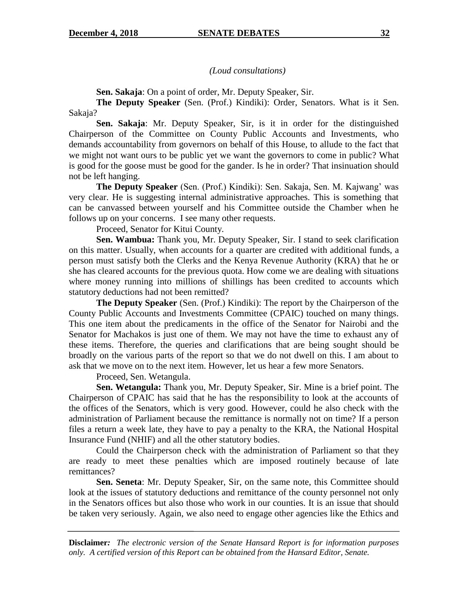*(Loud consultations)*

**Sen. Sakaja**: On a point of order, Mr. Deputy Speaker, Sir.

**The Deputy Speaker** (Sen. (Prof.) Kindiki): Order, Senators. What is it Sen. Sakaja?

**Sen. Sakaja**: Mr. Deputy Speaker, Sir, is it in order for the distinguished Chairperson of the Committee on County Public Accounts and Investments, who demands accountability from governors on behalf of this House, to allude to the fact that we might not want ours to be public yet we want the governors to come in public? What is good for the goose must be good for the gander. Is he in order? That insinuation should not be left hanging.

**The Deputy Speaker** (Sen. (Prof.) Kindiki): Sen. Sakaja, Sen. M. Kajwang" was very clear. He is suggesting internal administrative approaches. This is something that can be canvassed between yourself and his Committee outside the Chamber when he follows up on your concerns. I see many other requests.

Proceed, Senator for Kitui County.

**Sen. Wambua:** Thank you, Mr. Deputy Speaker, Sir. I stand to seek clarification on this matter. Usually, when accounts for a quarter are credited with additional funds, a person must satisfy both the Clerks and the Kenya Revenue Authority (KRA) that he or she has cleared accounts for the previous quota. How come we are dealing with situations where money running into millions of shillings has been credited to accounts which statutory deductions had not been remitted?

**The Deputy Speaker** (Sen. (Prof.) Kindiki): The report by the Chairperson of the County Public Accounts and Investments Committee (CPAIC) touched on many things. This one item about the predicaments in the office of the Senator for Nairobi and the Senator for Machakos is just one of them. We may not have the time to exhaust any of these items. Therefore, the queries and clarifications that are being sought should be broadly on the various parts of the report so that we do not dwell on this. I am about to ask that we move on to the next item. However, let us hear a few more Senators.

Proceed, Sen. Wetangula.

**Sen. Wetangula:** Thank you, Mr. Deputy Speaker, Sir. Mine is a brief point. The Chairperson of CPAIC has said that he has the responsibility to look at the accounts of the offices of the Senators, which is very good. However, could he also check with the administration of Parliament because the remittance is normally not on time? If a person files a return a week late, they have to pay a penalty to the KRA, the National Hospital Insurance Fund (NHIF) and all the other statutory bodies.

Could the Chairperson check with the administration of Parliament so that they are ready to meet these penalties which are imposed routinely because of late remittances?

**Sen. Seneta**: Mr. Deputy Speaker, Sir, on the same note, this Committee should look at the issues of statutory deductions and remittance of the county personnel not only in the Senators offices but also those who work in our counties. It is an issue that should be taken very seriously. Again, we also need to engage other agencies like the Ethics and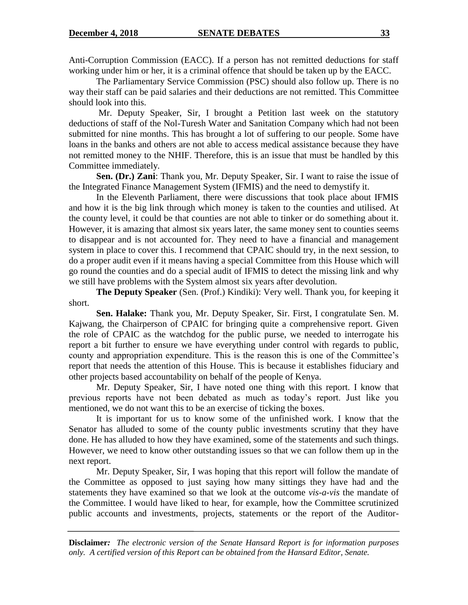Anti-Corruption Commission (EACC). If a person has not remitted deductions for staff working under him or her, it is a criminal offence that should be taken up by the EACC.

The Parliamentary Service Commission (PSC) should also follow up. There is no way their staff can be paid salaries and their deductions are not remitted. This Committee should look into this.

Mr. Deputy Speaker, Sir, I brought a Petition last week on the statutory deductions of staff of the Nol-Turesh Water and Sanitation Company which had not been submitted for nine months. This has brought a lot of suffering to our people. Some have loans in the banks and others are not able to access medical assistance because they have not remitted money to the NHIF. Therefore, this is an issue that must be handled by this Committee immediately.

**Sen. (Dr.) Zani**: Thank you, Mr. Deputy Speaker, Sir. I want to raise the issue of the Integrated Finance Management System (IFMIS) and the need to demystify it.

In the Eleventh Parliament, there were discussions that took place about IFMIS and how it is the big link through which money is taken to the counties and utilised. At the county level, it could be that counties are not able to tinker or do something about it. However, it is amazing that almost six years later, the same money sent to counties seems to disappear and is not accounted for. They need to have a financial and management system in place to cover this. I recommend that CPAIC should try, in the next session, to do a proper audit even if it means having a special Committee from this House which will go round the counties and do a special audit of IFMIS to detect the missing link and why we still have problems with the System almost six years after devolution.

**The Deputy Speaker** (Sen. (Prof.) Kindiki): Very well. Thank you, for keeping it short.

**Sen. Halake:** Thank you, Mr. Deputy Speaker, Sir. First, I congratulate Sen. M. Kajwang, the Chairperson of CPAIC for bringing quite a comprehensive report. Given the role of CPAIC as the watchdog for the public purse, we needed to interrogate his report a bit further to ensure we have everything under control with regards to public, county and appropriation expenditure. This is the reason this is one of the Committee"s report that needs the attention of this House. This is because it establishes fiduciary and other projects based accountability on behalf of the people of Kenya.

Mr. Deputy Speaker, Sir, I have noted one thing with this report. I know that previous reports have not been debated as much as today"s report. Just like you mentioned, we do not want this to be an exercise of ticking the boxes.

It is important for us to know some of the unfinished work. I know that the Senator has alluded to some of the county public investments scrutiny that they have done. He has alluded to how they have examined, some of the statements and such things. However, we need to know other outstanding issues so that we can follow them up in the next report.

Mr. Deputy Speaker, Sir, I was hoping that this report will follow the mandate of the Committee as opposed to just saying how many sittings they have had and the statements they have examined so that we look at the outcome *vis-a-vis* the mandate of the Committee. I would have liked to hear, for example, how the Committee scrutinized public accounts and investments, projects, statements or the report of the Auditor-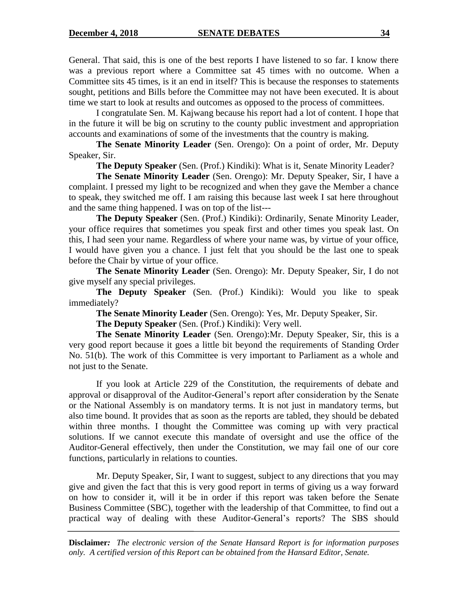General. That said, this is one of the best reports I have listened to so far. I know there was a previous report where a Committee sat 45 times with no outcome. When a Committee sits 45 times, is it an end in itself? This is because the responses to statements sought, petitions and Bills before the Committee may not have been executed. It is about time we start to look at results and outcomes as opposed to the process of committees.

I congratulate Sen. M. Kajwang because his report had a lot of content. I hope that in the future it will be big on scrutiny to the county public investment and appropriation accounts and examinations of some of the investments that the country is making.

**The Senate Minority Leader** (Sen. Orengo): On a point of order, Mr. Deputy Speaker, Sir.

**The Deputy Speaker** (Sen. (Prof.) Kindiki): What is it, Senate Minority Leader?

**The Senate Minority Leader** (Sen. Orengo): Mr. Deputy Speaker, Sir, I have a complaint. I pressed my light to be recognized and when they gave the Member a chance to speak, they switched me off. I am raising this because last week I sat here throughout and the same thing happened. I was on top of the list---

**The Deputy Speaker** (Sen. (Prof.) Kindiki): Ordinarily, Senate Minority Leader, your office requires that sometimes you speak first and other times you speak last. On this, I had seen your name. Regardless of where your name was, by virtue of your office, I would have given you a chance. I just felt that you should be the last one to speak before the Chair by virtue of your office.

**The Senate Minority Leader** (Sen. Orengo): Mr. Deputy Speaker, Sir, I do not give myself any special privileges.

**The Deputy Speaker** (Sen. (Prof.) Kindiki): Would you like to speak immediately?

**The Senate Minority Leader** (Sen. Orengo): Yes, Mr. Deputy Speaker, Sir.

**The Deputy Speaker** (Sen. (Prof.) Kindiki): Very well.

**The Senate Minority Leader** (Sen. Orengo):Mr. Deputy Speaker, Sir, this is a very good report because it goes a little bit beyond the requirements of Standing Order No. 51(b). The work of this Committee is very important to Parliament as a whole and not just to the Senate.

If you look at Article 229 of the Constitution, the requirements of debate and approval or disapproval of the Auditor-General"s report after consideration by the Senate or the National Assembly is on mandatory terms. It is not just in mandatory terms, but also time bound. It provides that as soon as the reports are tabled, they should be debated within three months. I thought the Committee was coming up with very practical solutions. If we cannot execute this mandate of oversight and use the office of the Auditor-General effectively, then under the Constitution, we may fail one of our core functions, particularly in relations to counties.

Mr. Deputy Speaker, Sir, I want to suggest, subject to any directions that you may give and given the fact that this is very good report in terms of giving us a way forward on how to consider it, will it be in order if this report was taken before the Senate Business Committee (SBC), together with the leadership of that Committee, to find out a practical way of dealing with these Auditor-General"s reports? The SBS should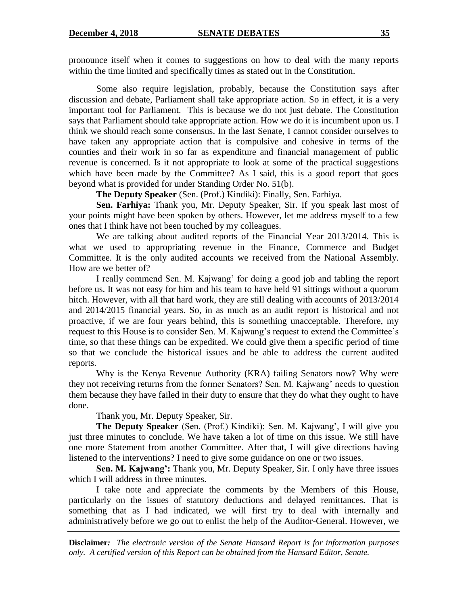pronounce itself when it comes to suggestions on how to deal with the many reports within the time limited and specifically times as stated out in the Constitution.

Some also require legislation, probably, because the Constitution says after discussion and debate, Parliament shall take appropriate action. So in effect, it is a very important tool for Parliament. This is because we do not just debate. The Constitution says that Parliament should take appropriate action. How we do it is incumbent upon us. I think we should reach some consensus. In the last Senate, I cannot consider ourselves to have taken any appropriate action that is compulsive and cohesive in terms of the counties and their work in so far as expenditure and financial management of public revenue is concerned. Is it not appropriate to look at some of the practical suggestions which have been made by the Committee? As I said, this is a good report that goes beyond what is provided for under Standing Order No. 51(b).

**The Deputy Speaker** (Sen. (Prof.) Kindiki): Finally, Sen. Farhiya.

**Sen. Farhiya:** Thank you, Mr. Deputy Speaker, Sir. If you speak last most of your points might have been spoken by others. However, let me address myself to a few ones that I think have not been touched by my colleagues.

We are talking about audited reports of the Financial Year 2013/2014. This is what we used to appropriating revenue in the Finance, Commerce and Budget Committee. It is the only audited accounts we received from the National Assembly. How are we better of?

I really commend Sen. M. Kajwang" for doing a good job and tabling the report before us. It was not easy for him and his team to have held 91 sittings without a quorum hitch. However, with all that hard work, they are still dealing with accounts of 2013/2014 and 2014/2015 financial years. So, in as much as an audit report is historical and not proactive, if we are four years behind, this is something unacceptable. Therefore, my request to this House is to consider Sen. M. Kajwang's request to extend the Committee's time, so that these things can be expedited. We could give them a specific period of time so that we conclude the historical issues and be able to address the current audited reports.

Why is the Kenya Revenue Authority (KRA) failing Senators now? Why were they not receiving returns from the former Senators? Sen. M. Kajwang" needs to question them because they have failed in their duty to ensure that they do what they ought to have done.

Thank you, Mr. Deputy Speaker, Sir.

**The Deputy Speaker** (Sen. (Prof.) Kindiki): Sen. M. Kajwang', I will give you just three minutes to conclude. We have taken a lot of time on this issue. We still have one more Statement from another Committee. After that, I will give directions having listened to the interventions? I need to give some guidance on one or two issues.

**Sen. M. Kajwang':** Thank you, Mr. Deputy Speaker, Sir. I only have three issues which I will address in three minutes.

I take note and appreciate the comments by the Members of this House, particularly on the issues of statutory deductions and delayed remittances. That is something that as I had indicated, we will first try to deal with internally and administratively before we go out to enlist the help of the Auditor-General. However, we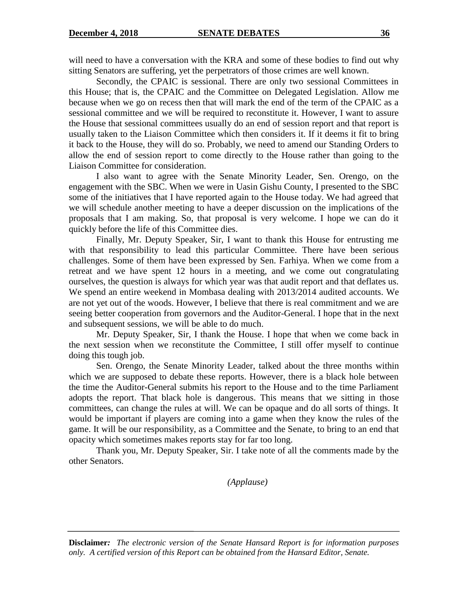will need to have a conversation with the KRA and some of these bodies to find out why sitting Senators are suffering, yet the perpetrators of those crimes are well known.

Secondly, the CPAIC is sessional. There are only two sessional Committees in this House; that is, the CPAIC and the Committee on Delegated Legislation. Allow me because when we go on recess then that will mark the end of the term of the CPAIC as a sessional committee and we will be required to reconstitute it. However, I want to assure the House that sessional committees usually do an end of session report and that report is usually taken to the Liaison Committee which then considers it. If it deems it fit to bring it back to the House, they will do so. Probably, we need to amend our Standing Orders to allow the end of session report to come directly to the House rather than going to the Liaison Committee for consideration.

I also want to agree with the Senate Minority Leader, Sen. Orengo, on the engagement with the SBC. When we were in Uasin Gishu County, I presented to the SBC some of the initiatives that I have reported again to the House today. We had agreed that we will schedule another meeting to have a deeper discussion on the implications of the proposals that I am making. So, that proposal is very welcome. I hope we can do it quickly before the life of this Committee dies.

Finally, Mr. Deputy Speaker, Sir, I want to thank this House for entrusting me with that responsibility to lead this particular Committee. There have been serious challenges. Some of them have been expressed by Sen. Farhiya. When we come from a retreat and we have spent 12 hours in a meeting, and we come out congratulating ourselves, the question is always for which year was that audit report and that deflates us. We spend an entire weekend in Mombasa dealing with 2013/2014 audited accounts. We are not yet out of the woods. However, I believe that there is real commitment and we are seeing better cooperation from governors and the Auditor-General. I hope that in the next and subsequent sessions, we will be able to do much.

Mr. Deputy Speaker, Sir, I thank the House. I hope that when we come back in the next session when we reconstitute the Committee, I still offer myself to continue doing this tough job.

Sen. Orengo, the Senate Minority Leader, talked about the three months within which we are supposed to debate these reports. However, there is a black hole between the time the Auditor-General submits his report to the House and to the time Parliament adopts the report. That black hole is dangerous. This means that we sitting in those committees, can change the rules at will. We can be opaque and do all sorts of things. It would be important if players are coming into a game when they know the rules of the game. It will be our responsibility, as a Committee and the Senate, to bring to an end that opacity which sometimes makes reports stay for far too long.

Thank you, Mr. Deputy Speaker, Sir. I take note of all the comments made by the other Senators.

*(Applause)*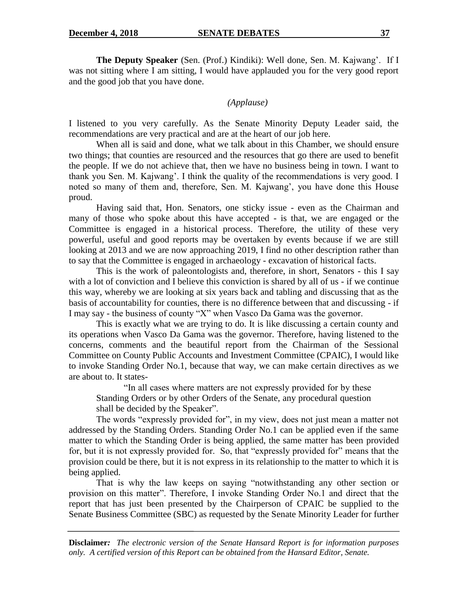**The Deputy Speaker** (Sen. (Prof.) Kindiki): Well done, Sen. M. Kajwang". If I was not sitting where I am sitting, I would have applauded you for the very good report and the good job that you have done.

### *(Applause)*

I listened to you very carefully. As the Senate Minority Deputy Leader said, the recommendations are very practical and are at the heart of our job here.

When all is said and done, what we talk about in this Chamber, we should ensure two things; that counties are resourced and the resources that go there are used to benefit the people. If we do not achieve that, then we have no business being in town. I want to thank you Sen. M. Kajwang'. I think the quality of the recommendations is very good. I noted so many of them and, therefore, Sen. M. Kajwang", you have done this House proud.

Having said that, Hon. Senators, one sticky issue - even as the Chairman and many of those who spoke about this have accepted - is that, we are engaged or the Committee is engaged in a historical process. Therefore, the utility of these very powerful, useful and good reports may be overtaken by events because if we are still looking at 2013 and we are now approaching 2019, I find no other description rather than to say that the Committee is engaged in archaeology - excavation of historical facts.

This is the work of paleontologists and, therefore, in short, Senators - this I say with a lot of conviction and I believe this conviction is shared by all of us - if we continue this way, whereby we are looking at six years back and tabling and discussing that as the basis of accountability for counties, there is no difference between that and discussing - if I may say - the business of county "X" when Vasco Da Gama was the governor.

This is exactly what we are trying to do. It is like discussing a certain county and its operations when Vasco Da Gama was the governor. Therefore, having listened to the concerns, comments and the beautiful report from the Chairman of the Sessional Committee on County Public Accounts and Investment Committee (CPAIC), I would like to invoke Standing Order No.1, because that way, we can make certain directives as we are about to. It states-

"In all cases where matters are not expressly provided for by these Standing Orders or by other Orders of the Senate, any procedural question shall be decided by the Speaker".

The words "expressly provided for", in my view, does not just mean a matter not addressed by the Standing Orders. Standing Order No.1 can be applied even if the same matter to which the Standing Order is being applied, the same matter has been provided for, but it is not expressly provided for. So, that "expressly provided for" means that the provision could be there, but it is not express in its relationship to the matter to which it is being applied.

That is why the law keeps on saying "notwithstanding any other section or provision on this matter". Therefore, I invoke Standing Order No.1 and direct that the report that has just been presented by the Chairperson of CPAIC be supplied to the Senate Business Committee (SBC) as requested by the Senate Minority Leader for further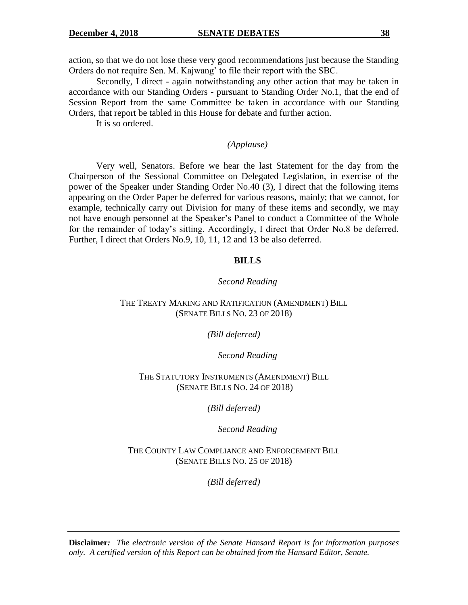action, so that we do not lose these very good recommendations just because the Standing Orders do not require Sen. M. Kajwang" to file their report with the SBC.

Secondly, I direct - again notwithstanding any other action that may be taken in accordance with our Standing Orders - pursuant to Standing Order No.1, that the end of Session Report from the same Committee be taken in accordance with our Standing Orders, that report be tabled in this House for debate and further action.

It is so ordered.

#### *(Applause)*

Very well, Senators. Before we hear the last Statement for the day from the Chairperson of the Sessional Committee on Delegated Legislation, in exercise of the power of the Speaker under Standing Order No.40 (3), I direct that the following items appearing on the Order Paper be deferred for various reasons, mainly; that we cannot, for example, technically carry out Division for many of these items and secondly, we may not have enough personnel at the Speaker"s Panel to conduct a Committee of the Whole for the remainder of today"s sitting. Accordingly, I direct that Order No.8 be deferred. Further, I direct that Orders No.9, 10, 11, 12 and 13 be also deferred.

#### **BILLS**

#### *Second Reading*

#### THE TREATY MAKING AND RATIFICATION (AMENDMENT) BILL (SENATE BILLS NO. 23 OF 2018)

#### *(Bill deferred)*

#### *Second Reading*

### THE STATUTORY INSTRUMENTS (AMENDMENT) BILL (SENATE BILLS NO. 24 OF 2018)

*(Bill deferred)*

*Second Reading*

THE COUNTY LAW COMPLIANCE AND ENFORCEMENT BILL (SENATE BILLS NO. 25 OF 2018)

*(Bill deferred)*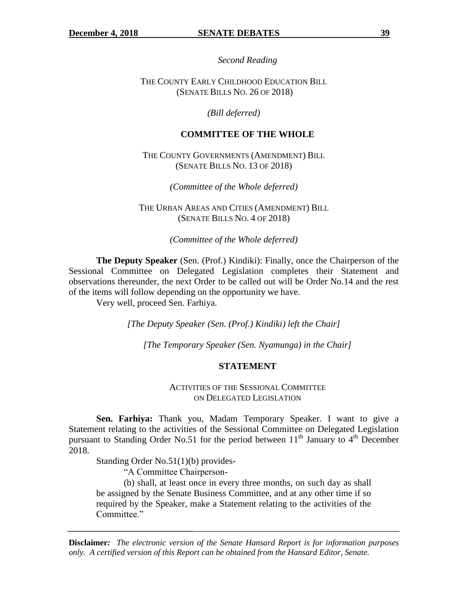*Second Reading*

THE COUNTY EARLY CHILDHOOD EDUCATION BILL (SENATE BILLS NO. 26 OF 2018)

*(Bill deferred)*

#### **COMMITTEE OF THE WHOLE**

THE COUNTY GOVERNMENTS (AMENDMENT) BILL (SENATE BILLS NO. 13 OF 2018)

*(Committee of the Whole deferred)*

THE URBAN AREAS AND CITIES (AMENDMENT) BILL (SENATE BILLS NO. 4 OF 2018)

*(Committee of the Whole deferred)*

**The Deputy Speaker** (Sen. (Prof.) Kindiki): Finally, once the Chairperson of the Sessional Committee on Delegated Legislation completes their Statement and observations thereunder, the next Order to be called out will be Order No.14 and the rest of the items will follow depending on the opportunity we have.

Very well, proceed Sen. Farhiya.

*[The Deputy Speaker (Sen. (Prof.) Kindiki) left the Chair]*

*[The Temporary Speaker (Sen. Nyamunga) in the Chair]*

#### **STATEMENT**

ACTIVITIES OF THE SESSIONAL COMMITTEE ON DELEGATED LEGISLATION

**Sen. Farhiya:** Thank you, Madam Temporary Speaker. I want to give a Statement relating to the activities of the Sessional Committee on Delegated Legislation pursuant to Standing Order No.51 for the period between  $11<sup>th</sup>$  January to  $4<sup>th</sup>$  December 2018.

Standing Order No.51(1)(b) provides-

"A Committee Chairperson-

(b) shall, at least once in every three months, on such day as shall be assigned by the Senate Business Committee, and at any other time if so required by the Speaker, make a Statement relating to the activities of the Committee."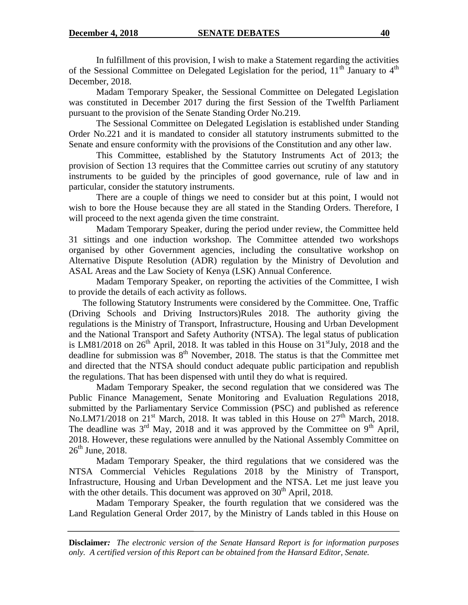In fulfillment of this provision, I wish to make a Statement regarding the activities of the Sessional Committee on Delegated Legislation for the period,  $11<sup>th</sup>$  January to  $4<sup>th</sup>$ December, 2018.

Madam Temporary Speaker, the Sessional Committee on Delegated Legislation was constituted in December 2017 during the first Session of the Twelfth Parliament pursuant to the provision of the Senate Standing Order No.219.

The Sessional Committee on Delegated Legislation is established under Standing Order No.221 and it is mandated to consider all statutory instruments submitted to the Senate and ensure conformity with the provisions of the Constitution and any other law.

This Committee, established by the Statutory Instruments Act of 2013; the provision of Section 13 requires that the Committee carries out scrutiny of any statutory instruments to be guided by the principles of good governance, rule of law and in particular, consider the statutory instruments.

There are a couple of things we need to consider but at this point, I would not wish to bore the House because they are all stated in the Standing Orders. Therefore, I will proceed to the next agenda given the time constraint.

Madam Temporary Speaker, during the period under review, the Committee held 31 sittings and one induction workshop. The Committee attended two workshops organised by other Government agencies, including the consultative workshop on Alternative Dispute Resolution (ADR) regulation by the Ministry of Devolution and ASAL Areas and the Law Society of Kenya (LSK) Annual Conference.

Madam Temporary Speaker, on reporting the activities of the Committee, I wish to provide the details of each activity as follows.

The following Statutory Instruments were considered by the Committee. One, Traffic (Driving Schools and Driving Instructors)Rules 2018. The authority giving the regulations is the Ministry of Transport, Infrastructure, Housing and Urban Development and the National Transport and Safety Authority (NTSA). The legal status of publication is LM81/2018 on  $26<sup>th</sup>$  April, 2018. It was tabled in this House on  $31<sup>st</sup>$  July, 2018 and the deadline for submission was  $8<sup>th</sup>$  November, 2018. The status is that the Committee met and directed that the NTSA should conduct adequate public participation and republish the regulations. That has been dispensed with until they do what is required.

Madam Temporary Speaker, the second regulation that we considered was The Public Finance Management, Senate Monitoring and Evaluation Regulations 2018, submitted by the Parliamentary Service Commission (PSC) and published as reference No.LM71/2018 on  $21<sup>st</sup>$  March, 2018. It was tabled in this House on  $27<sup>th</sup>$  March, 2018. The deadline was  $3<sup>rd</sup>$  May, 2018 and it was approved by the Committee on 9<sup>th</sup> April, 2018. However, these regulations were annulled by the National Assembly Committee on  $26<sup>th</sup>$  June, 2018.

Madam Temporary Speaker, the third regulations that we considered was the NTSA Commercial Vehicles Regulations 2018 by the Ministry of Transport, Infrastructure, Housing and Urban Development and the NTSA. Let me just leave you with the other details. This document was approved on  $30<sup>th</sup>$  April, 2018.

Madam Temporary Speaker, the fourth regulation that we considered was the Land Regulation General Order 2017, by the Ministry of Lands tabled in this House on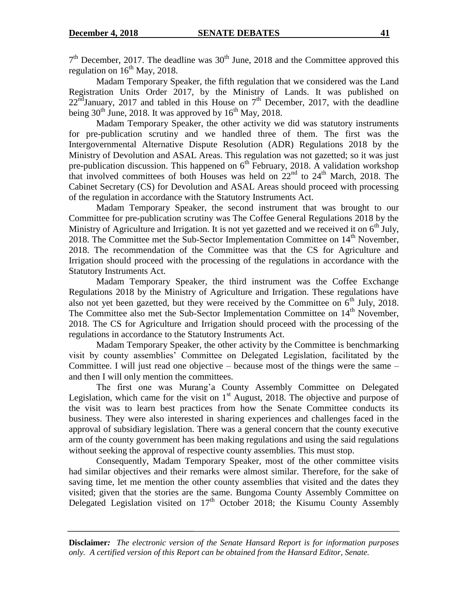$7<sup>th</sup>$  December, 2017. The deadline was  $30<sup>th</sup>$  June, 2018 and the Committee approved this regulation on  $16^{th}$  May, 2018.

Madam Temporary Speaker, the fifth regulation that we considered was the Land Registration Units Order 2017, by the Ministry of Lands. It was published on  $22<sup>nd</sup>$ January, 2017 and tabled in this House on  $7<sup>th</sup>$  December, 2017, with the deadline being  $30<sup>th</sup>$  June, 2018. It was approved by  $16<sup>th</sup>$  May, 2018.

Madam Temporary Speaker, the other activity we did was statutory instruments for pre-publication scrutiny and we handled three of them. The first was the Intergovernmental Alternative Dispute Resolution (ADR) Regulations 2018 by the Ministry of Devolution and ASAL Areas. This regulation was not gazetted; so it was just pre-publication discussion. This happened on  $6<sup>th</sup>$  February, 2018. A validation workshop that involved committees of both Houses was held on  $22<sup>nd</sup>$  to  $24<sup>th</sup>$  March, 2018. The Cabinet Secretary (CS) for Devolution and ASAL Areas should proceed with processing of the regulation in accordance with the Statutory Instruments Act.

Madam Temporary Speaker, the second instrument that was brought to our Committee for pre-publication scrutiny was The Coffee General Regulations 2018 by the Ministry of Agriculture and Irrigation. It is not yet gazetted and we received it on  $6<sup>th</sup>$  July, 2018. The Committee met the Sub-Sector Implementation Committee on  $14<sup>th</sup>$  November, 2018. The recommendation of the Committee was that the CS for Agriculture and Irrigation should proceed with the processing of the regulations in accordance with the Statutory Instruments Act.

Madam Temporary Speaker, the third instrument was the Coffee Exchange Regulations 2018 by the Ministry of Agriculture and Irrigation. These regulations have also not yet been gazetted, but they were received by the Committee on  $6<sup>th</sup>$  July, 2018. The Committee also met the Sub-Sector Implementation Committee on  $14<sup>th</sup>$  November, 2018. The CS for Agriculture and Irrigation should proceed with the processing of the regulations in accordance to the Statutory Instruments Act.

Madam Temporary Speaker, the other activity by the Committee is benchmarking visit by county assemblies" Committee on Delegated Legislation, facilitated by the Committee. I will just read one objective – because most of the things were the same – and then I will only mention the committees.

The first one was Murang"a County Assembly Committee on Delegated Legislation, which came for the visit on  $1<sup>st</sup>$  August, 2018. The objective and purpose of the visit was to learn best practices from how the Senate Committee conducts its business. They were also interested in sharing experiences and challenges faced in the approval of subsidiary legislation. There was a general concern that the county executive arm of the county government has been making regulations and using the said regulations without seeking the approval of respective county assemblies. This must stop.

Consequently, Madam Temporary Speaker, most of the other committee visits had similar objectives and their remarks were almost similar. Therefore, for the sake of saving time, let me mention the other county assemblies that visited and the dates they visited; given that the stories are the same. Bungoma County Assembly Committee on Delegated Legislation visited on  $17<sup>th</sup>$  October 2018; the Kisumu County Assembly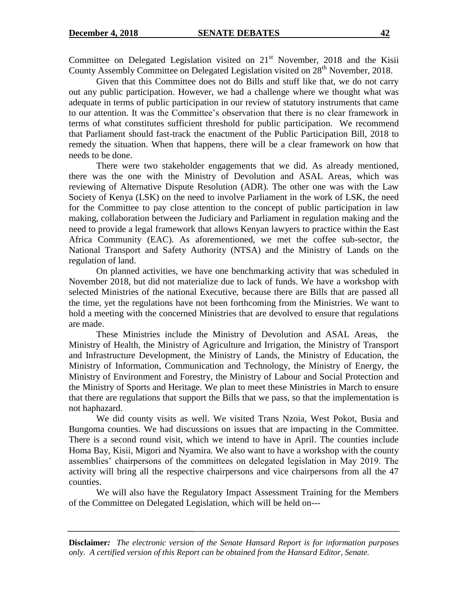Committee on Delegated Legislation visited on  $21<sup>st</sup>$  November, 2018 and the Kisii County Assembly Committee on Delegated Legislation visited on  $28<sup>th</sup>$  November, 2018.

Given that this Committee does not do Bills and stuff like that, we do not carry out any public participation. However, we had a challenge where we thought what was adequate in terms of public participation in our review of statutory instruments that came to our attention. It was the Committee"s observation that there is no clear framework in terms of what constitutes sufficient threshold for public participation. We recommend that Parliament should fast-track the enactment of the Public Participation Bill, 2018 to remedy the situation. When that happens, there will be a clear framework on how that needs to be done.

There were two stakeholder engagements that we did. As already mentioned, there was the one with the Ministry of Devolution and ASAL Areas, which was reviewing of Alternative Dispute Resolution (ADR). The other one was with the Law Society of Kenya (LSK) on the need to involve Parliament in the work of LSK, the need for the Committee to pay close attention to the concept of public participation in law making, collaboration between the Judiciary and Parliament in regulation making and the need to provide a legal framework that allows Kenyan lawyers to practice within the East Africa Community (EAC). As aforementioned, we met the coffee sub-sector, the National Transport and Safety Authority (NTSA) and the Ministry of Lands on the regulation of land.

On planned activities, we have one benchmarking activity that was scheduled in November 2018, but did not materialize due to lack of funds. We have a workshop with selected Ministries of the national Executive, because there are Bills that are passed all the time, yet the regulations have not been forthcoming from the Ministries. We want to hold a meeting with the concerned Ministries that are devolved to ensure that regulations are made.

These Ministries include the Ministry of Devolution and ASAL Areas, the Ministry of Health, the Ministry of Agriculture and Irrigation, the Ministry of Transport and Infrastructure Development, the Ministry of Lands, the Ministry of Education, the Ministry of Information, Communication and Technology, the Ministry of Energy, the Ministry of Environment and Forestry, the Ministry of Labour and Social Protection and the Ministry of Sports and Heritage. We plan to meet these Ministries in March to ensure that there are regulations that support the Bills that we pass, so that the implementation is not haphazard.

We did county visits as well. We visited Trans Nzoia, West Pokot, Busia and Bungoma counties. We had discussions on issues that are impacting in the Committee. There is a second round visit, which we intend to have in April. The counties include Homa Bay, Kisii, Migori and Nyamira. We also want to have a workshop with the county assemblies" chairpersons of the committees on delegated legislation in May 2019. The activity will bring all the respective chairpersons and vice chairpersons from all the 47 counties.

We will also have the Regulatory Impact Assessment Training for the Members of the Committee on Delegated Legislation, which will be held on---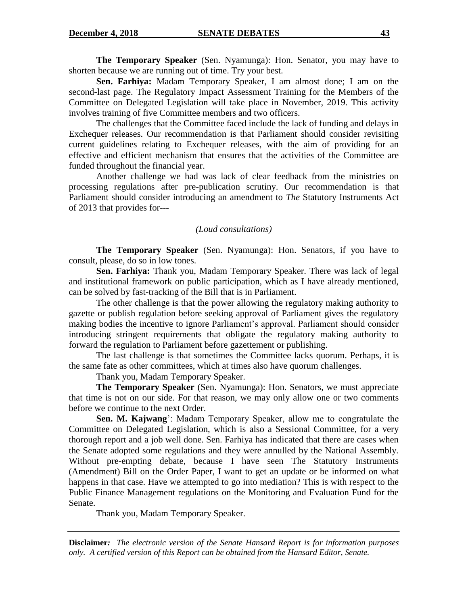**The Temporary Speaker** (Sen. Nyamunga): Hon. Senator, you may have to shorten because we are running out of time. Try your best.

**Sen. Farhiya:** Madam Temporary Speaker, I am almost done; I am on the second-last page. The Regulatory Impact Assessment Training for the Members of the Committee on Delegated Legislation will take place in November, 2019. This activity involves training of five Committee members and two officers.

The challenges that the Committee faced include the lack of funding and delays in Exchequer releases. Our recommendation is that Parliament should consider revisiting current guidelines relating to Exchequer releases, with the aim of providing for an effective and efficient mechanism that ensures that the activities of the Committee are funded throughout the financial year.

Another challenge we had was lack of clear feedback from the ministries on processing regulations after pre-publication scrutiny. Our recommendation is that Parliament should consider introducing an amendment to *The* Statutory Instruments Act of 2013 that provides for---

#### *(Loud consultations)*

**The Temporary Speaker** (Sen. Nyamunga): Hon. Senators, if you have to consult, please, do so in low tones.

**Sen. Farhiya:** Thank you, Madam Temporary Speaker. There was lack of legal and institutional framework on public participation, which as I have already mentioned, can be solved by fast-tracking of the Bill that is in Parliament.

The other challenge is that the power allowing the regulatory making authority to gazette or publish regulation before seeking approval of Parliament gives the regulatory making bodies the incentive to ignore Parliament's approval. Parliament should consider introducing stringent requirements that obligate the regulatory making authority to forward the regulation to Parliament before gazettement or publishing.

The last challenge is that sometimes the Committee lacks quorum. Perhaps, it is the same fate as other committees, which at times also have quorum challenges.

Thank you, Madam Temporary Speaker.

**The Temporary Speaker** (Sen. Nyamunga): Hon. Senators, we must appreciate that time is not on our side. For that reason, we may only allow one or two comments before we continue to the next Order.

**Sen. M. Kajwang**": Madam Temporary Speaker, allow me to congratulate the Committee on Delegated Legislation, which is also a Sessional Committee, for a very thorough report and a job well done. Sen. Farhiya has indicated that there are cases when the Senate adopted some regulations and they were annulled by the National Assembly. Without pre-empting debate, because I have seen The Statutory Instruments (Amendment) Bill on the Order Paper, I want to get an update or be informed on what happens in that case. Have we attempted to go into mediation? This is with respect to the Public Finance Management regulations on the Monitoring and Evaluation Fund for the Senate.

Thank you, Madam Temporary Speaker.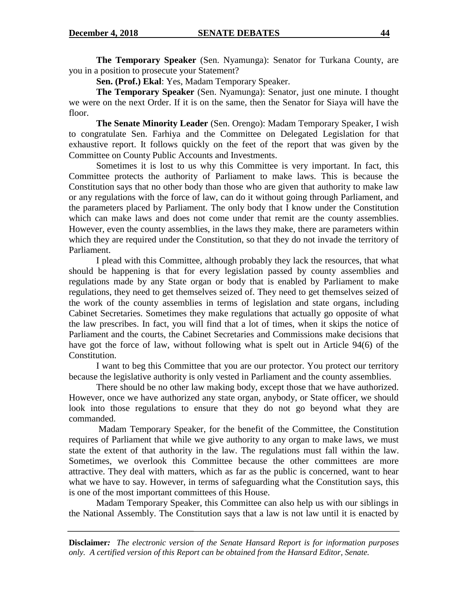**The Temporary Speaker** (Sen. Nyamunga): Senator for Turkana County, are you in a position to prosecute your Statement?

**Sen. (Prof.) Ekal**: Yes, Madam Temporary Speaker.

**The Temporary Speaker** (Sen. Nyamunga): Senator, just one minute. I thought we were on the next Order. If it is on the same, then the Senator for Siaya will have the floor.

**The Senate Minority Leader** (Sen. Orengo): Madam Temporary Speaker, I wish to congratulate Sen. Farhiya and the Committee on Delegated Legislation for that exhaustive report. It follows quickly on the feet of the report that was given by the Committee on County Public Accounts and Investments.

Sometimes it is lost to us why this Committee is very important. In fact, this Committee protects the authority of Parliament to make laws. This is because the Constitution says that no other body than those who are given that authority to make law or any regulations with the force of law, can do it without going through Parliament, and the parameters placed by Parliament. The only body that I know under the Constitution which can make laws and does not come under that remit are the county assemblies. However, even the county assemblies, in the laws they make, there are parameters within which they are required under the Constitution, so that they do not invade the territory of Parliament.

I plead with this Committee, although probably they lack the resources, that what should be happening is that for every legislation passed by county assemblies and regulations made by any State organ or body that is enabled by Parliament to make regulations, they need to get themselves seized of. They need to get themselves seized of the work of the county assemblies in terms of legislation and state organs, including Cabinet Secretaries. Sometimes they make regulations that actually go opposite of what the law prescribes. In fact, you will find that a lot of times, when it skips the notice of Parliament and the courts, the Cabinet Secretaries and Commissions make decisions that have got the force of law, without following what is spelt out in Article 94(6) of the Constitution.

I want to beg this Committee that you are our protector. You protect our territory because the legislative authority is only vested in Parliament and the county assemblies.

There should be no other law making body, except those that we have authorized. However, once we have authorized any state organ, anybody, or State officer, we should look into those regulations to ensure that they do not go beyond what they are commanded.

Madam Temporary Speaker, for the benefit of the Committee, the Constitution requires of Parliament that while we give authority to any organ to make laws, we must state the extent of that authority in the law. The regulations must fall within the law. Sometimes, we overlook this Committee because the other committees are more attractive. They deal with matters, which as far as the public is concerned, want to hear what we have to say. However, in terms of safeguarding what the Constitution says, this is one of the most important committees of this House.

Madam Temporary Speaker, this Committee can also help us with our siblings in the National Assembly. The Constitution says that a law is not law until it is enacted by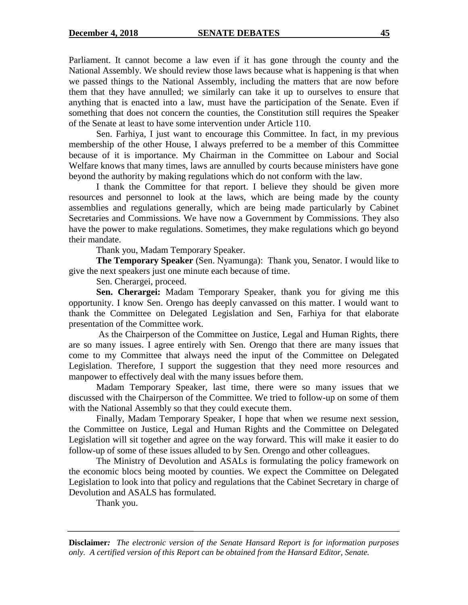Parliament. It cannot become a law even if it has gone through the county and the National Assembly. We should review those laws because what is happening is that when we passed things to the National Assembly, including the matters that are now before them that they have annulled; we similarly can take it up to ourselves to ensure that anything that is enacted into a law, must have the participation of the Senate. Even if something that does not concern the counties, the Constitution still requires the Speaker of the Senate at least to have some intervention under Article 110.

Sen. Farhiya, I just want to encourage this Committee. In fact, in my previous membership of the other House, I always preferred to be a member of this Committee because of it is importance. My Chairman in the Committee on Labour and Social Welfare knows that many times, laws are annulled by courts because ministers have gone beyond the authority by making regulations which do not conform with the law.

I thank the Committee for that report. I believe they should be given more resources and personnel to look at the laws, which are being made by the county assemblies and regulations generally, which are being made particularly by Cabinet Secretaries and Commissions. We have now a Government by Commissions. They also have the power to make regulations. Sometimes, they make regulations which go beyond their mandate.

Thank you, Madam Temporary Speaker.

**The Temporary Speaker** (Sen. Nyamunga): Thank you, Senator. I would like to give the next speakers just one minute each because of time.

Sen. Cherargei, proceed.

**Sen. Cherargei:** Madam Temporary Speaker, thank you for giving me this opportunity. I know Sen. Orengo has deeply canvassed on this matter. I would want to thank the Committee on Delegated Legislation and Sen, Farhiya for that elaborate presentation of the Committee work.

As the Chairperson of the Committee on Justice, Legal and Human Rights, there are so many issues. I agree entirely with Sen. Orengo that there are many issues that come to my Committee that always need the input of the Committee on Delegated Legislation. Therefore, I support the suggestion that they need more resources and manpower to effectively deal with the many issues before them.

Madam Temporary Speaker, last time, there were so many issues that we discussed with the Chairperson of the Committee. We tried to follow-up on some of them with the National Assembly so that they could execute them.

Finally, Madam Temporary Speaker, I hope that when we resume next session, the Committee on Justice, Legal and Human Rights and the Committee on Delegated Legislation will sit together and agree on the way forward. This will make it easier to do follow-up of some of these issues alluded to by Sen. Orengo and other colleagues.

The Ministry of Devolution and ASALs is formulating the policy framework on the economic blocs being mooted by counties. We expect the Committee on Delegated Legislation to look into that policy and regulations that the Cabinet Secretary in charge of Devolution and ASALS has formulated.

Thank you.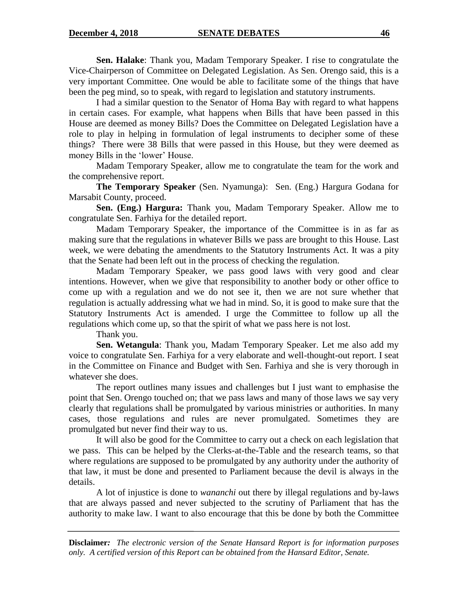**Sen. Halake**: Thank you, Madam Temporary Speaker. I rise to congratulate the Vice-Chairperson of Committee on Delegated Legislation. As Sen. Orengo said, this is a very important Committee. One would be able to facilitate some of the things that have been the peg mind, so to speak, with regard to legislation and statutory instruments.

I had a similar question to the Senator of Homa Bay with regard to what happens in certain cases. For example, what happens when Bills that have been passed in this House are deemed as money Bills? Does the Committee on Delegated Legislation have a role to play in helping in formulation of legal instruments to decipher some of these things? There were 38 Bills that were passed in this House, but they were deemed as money Bills in the 'lower' House.

Madam Temporary Speaker, allow me to congratulate the team for the work and the comprehensive report.

**The Temporary Speaker** (Sen. Nyamunga): Sen. (Eng.) Hargura Godana for Marsabit County, proceed.

**Sen. (Eng.) Hargura:** Thank you, Madam Temporary Speaker. Allow me to congratulate Sen. Farhiya for the detailed report.

Madam Temporary Speaker, the importance of the Committee is in as far as making sure that the regulations in whatever Bills we pass are brought to this House. Last week, we were debating the amendments to the Statutory Instruments Act. It was a pity that the Senate had been left out in the process of checking the regulation.

Madam Temporary Speaker, we pass good laws with very good and clear intentions. However, when we give that responsibility to another body or other office to come up with a regulation and we do not see it, then we are not sure whether that regulation is actually addressing what we had in mind. So, it is good to make sure that the Statutory Instruments Act is amended. I urge the Committee to follow up all the regulations which come up, so that the spirit of what we pass here is not lost.

Thank you.

**Sen. Wetangula**: Thank you, Madam Temporary Speaker. Let me also add my voice to congratulate Sen. Farhiya for a very elaborate and well-thought-out report. I seat in the Committee on Finance and Budget with Sen. Farhiya and she is very thorough in whatever she does.

The report outlines many issues and challenges but I just want to emphasise the point that Sen. Orengo touched on; that we pass laws and many of those laws we say very clearly that regulations shall be promulgated by various ministries or authorities. In many cases, those regulations and rules are never promulgated. Sometimes they are promulgated but never find their way to us.

It will also be good for the Committee to carry out a check on each legislation that we pass. This can be helped by the Clerks-at-the-Table and the research teams, so that where regulations are supposed to be promulgated by any authority under the authority of that law, it must be done and presented to Parliament because the devil is always in the details.

A lot of injustice is done to *wananchi* out there by illegal regulations and by-laws that are always passed and never subjected to the scrutiny of Parliament that has the authority to make law. I want to also encourage that this be done by both the Committee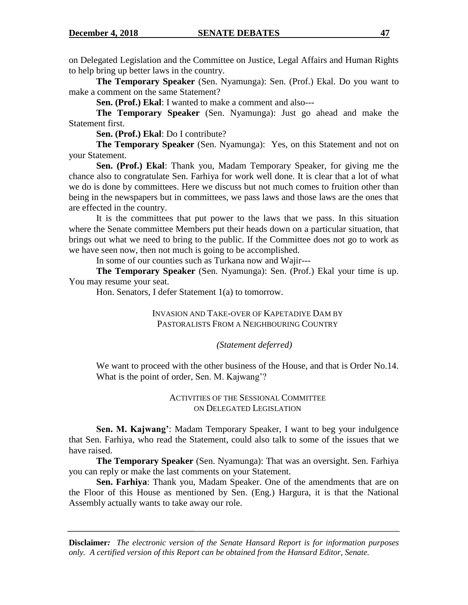on Delegated Legislation and the Committee on Justice, Legal Affairs and Human Rights to help bring up better laws in the country.

**The Temporary Speaker** (Sen. Nyamunga): Sen. (Prof.) Ekal. Do you want to make a comment on the same Statement?

**Sen. (Prof.) Ekal**: I wanted to make a comment and also---

**The Temporary Speaker** (Sen. Nyamunga): Just go ahead and make the Statement first.

**Sen. (Prof.) Ekal**: Do I contribute?

**The Temporary Speaker** (Sen. Nyamunga): Yes, on this Statement and not on your Statement.

**Sen. (Prof.) Ekal**: Thank you, Madam Temporary Speaker, for giving me the chance also to congratulate Sen. Farhiya for work well done. It is clear that a lot of what we do is done by committees. Here we discuss but not much comes to fruition other than being in the newspapers but in committees, we pass laws and those laws are the ones that are effected in the country.

It is the committees that put power to the laws that we pass. In this situation where the Senate committee Members put their heads down on a particular situation, that brings out what we need to bring to the public. If the Committee does not go to work as we have seen now, then not much is going to be accomplished.

In some of our counties such as Turkana now and Wajir---

**The Temporary Speaker** (Sen. Nyamunga): Sen. (Prof.) Ekal your time is up. You may resume your seat.

Hon. Senators, I defer Statement 1(a) to tomorrow.

INVASION AND TAKE-OVER OF KAPETADIYE DAM BY PASTORALISTS FROM A NEIGHBOURING COUNTRY

#### *(Statement deferred)*

We want to proceed with the other business of the House, and that is Order No.14. What is the point of order, Sen. M. Kajwang'?

#### ACTIVITIES OF THE SESSIONAL COMMITTEE ON DELEGATED LEGISLATION

**Sen. M. Kajwang'**: Madam Temporary Speaker, I want to beg your indulgence that Sen. Farhiya, who read the Statement, could also talk to some of the issues that we have raised.

**The Temporary Speaker** (Sen. Nyamunga): That was an oversight. Sen. Farhiya you can reply or make the last comments on your Statement.

**Sen. Farhiya**: Thank you, Madam Speaker. One of the amendments that are on the Floor of this House as mentioned by Sen. (Eng.) Hargura, it is that the National Assembly actually wants to take away our role.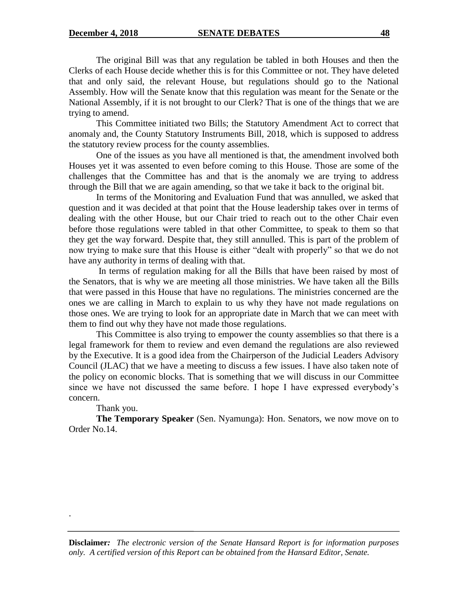The original Bill was that any regulation be tabled in both Houses and then the Clerks of each House decide whether this is for this Committee or not. They have deleted that and only said, the relevant House, but regulations should go to the National Assembly. How will the Senate know that this regulation was meant for the Senate or the National Assembly, if it is not brought to our Clerk? That is one of the things that we are trying to amend.

This Committee initiated two Bills; the Statutory Amendment Act to correct that anomaly and, the County Statutory Instruments Bill, 2018, which is supposed to address the statutory review process for the county assemblies.

One of the issues as you have all mentioned is that, the amendment involved both Houses yet it was assented to even before coming to this House. Those are some of the challenges that the Committee has and that is the anomaly we are trying to address through the Bill that we are again amending, so that we take it back to the original bit.

In terms of the Monitoring and Evaluation Fund that was annulled, we asked that question and it was decided at that point that the House leadership takes over in terms of dealing with the other House, but our Chair tried to reach out to the other Chair even before those regulations were tabled in that other Committee, to speak to them so that they get the way forward. Despite that, they still annulled. This is part of the problem of now trying to make sure that this House is either "dealt with properly" so that we do not have any authority in terms of dealing with that.

In terms of regulation making for all the Bills that have been raised by most of the Senators, that is why we are meeting all those ministries. We have taken all the Bills that were passed in this House that have no regulations. The ministries concerned are the ones we are calling in March to explain to us why they have not made regulations on those ones. We are trying to look for an appropriate date in March that we can meet with them to find out why they have not made those regulations.

This Committee is also trying to empower the county assemblies so that there is a legal framework for them to review and even demand the regulations are also reviewed by the Executive. It is a good idea from the Chairperson of the Judicial Leaders Advisory Council (JLAC) that we have a meeting to discuss a few issues. I have also taken note of the policy on economic blocks. That is something that we will discuss in our Committee since we have not discussed the same before. I hope I have expressed everybody"s concern.

### Thank you.

.

**The Temporary Speaker** (Sen. Nyamunga): Hon. Senators, we now move on to Order No.14.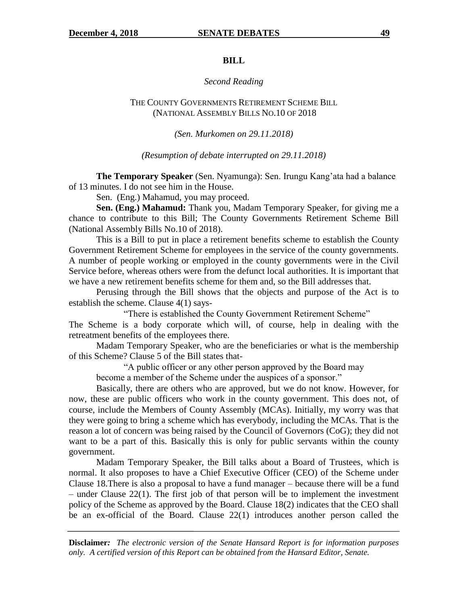#### **BILL**

#### *Second Reading*

THE COUNTY GOVERNMENTS RETIREMENT SCHEME BILL (NATIONAL ASSEMBLY BILLS NO.10 OF 2018

*(Sen. Murkomen on 29.11.2018)*

*(Resumption of debate interrupted on 29.11.2018)*

**The Temporary Speaker** (Sen. Nyamunga): Sen. Irungu Kang"ata had a balance of 13 minutes. I do not see him in the House.

Sen. (Eng.) Mahamud, you may proceed.

**Sen. (Eng.) Mahamud:** Thank you, Madam Temporary Speaker, for giving me a chance to contribute to this Bill; The County Governments Retirement Scheme Bill (National Assembly Bills No.10 of 2018).

This is a Bill to put in place a retirement benefits scheme to establish the County Government Retirement Scheme for employees in the service of the county governments. A number of people working or employed in the county governments were in the Civil Service before, whereas others were from the defunct local authorities. It is important that we have a new retirement benefits scheme for them and, so the Bill addresses that.

Perusing through the Bill shows that the objects and purpose of the Act is to establish the scheme. Clause 4(1) says-

"There is established the County Government Retirement Scheme" The Scheme is a body corporate which will, of course, help in dealing with the retreatment benefits of the employees there.

Madam Temporary Speaker, who are the beneficiaries or what is the membership of this Scheme? Clause 5 of the Bill states that-

"A public officer or any other person approved by the Board may

become a member of the Scheme under the auspices of a sponsor."

Basically, there are others who are approved, but we do not know. However, for now, these are public officers who work in the county government. This does not, of course, include the Members of County Assembly (MCAs). Initially, my worry was that they were going to bring a scheme which has everybody, including the MCAs. That is the reason a lot of concern was being raised by the Council of Governors (CoG); they did not want to be a part of this. Basically this is only for public servants within the county government.

Madam Temporary Speaker, the Bill talks about a Board of Trustees, which is normal. It also proposes to have a Chief Executive Officer (CEO) of the Scheme under Clause 18.There is also a proposal to have a fund manager – because there will be a fund – under Clause 22(1). The first job of that person will be to implement the investment policy of the Scheme as approved by the Board. Clause 18(2) indicates that the CEO shall be an ex-official of the Board. Clause 22(1) introduces another person called the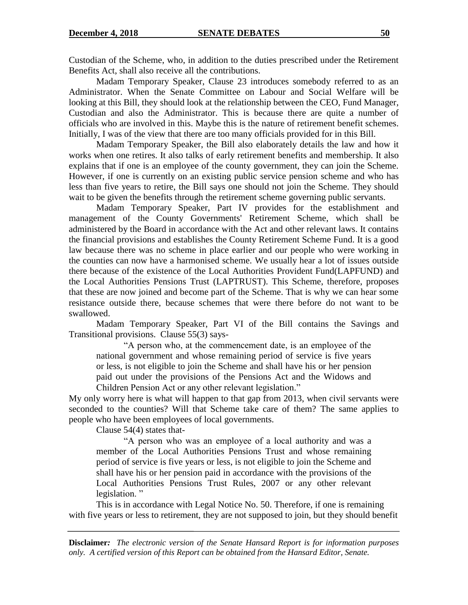Custodian of the Scheme, who, in addition to the duties prescribed under the Retirement Benefits Act, shall also receive all the contributions.

Madam Temporary Speaker, Clause 23 introduces somebody referred to as an Administrator. When the Senate Committee on Labour and Social Welfare will be looking at this Bill, they should look at the relationship between the CEO, Fund Manager, Custodian and also the Administrator. This is because there are quite a number of officials who are involved in this. Maybe this is the nature of retirement benefit schemes. Initially, I was of the view that there are too many officials provided for in this Bill.

Madam Temporary Speaker, the Bill also elaborately details the law and how it works when one retires. It also talks of early retirement benefits and membership. It also explains that if one is an employee of the county government, they can join the Scheme. However, if one is currently on an existing public service pension scheme and who has less than five years to retire, the Bill says one should not join the Scheme. They should wait to be given the benefits through the retirement scheme governing public servants.

Madam Temporary Speaker, Part IV provides for the establishment and management of the County Governments' Retirement Scheme, which shall be administered by the Board in accordance with the Act and other relevant laws. It contains the financial provisions and establishes the County Retirement Scheme Fund. It is a good law because there was no scheme in place earlier and our people who were working in the counties can now have a harmonised scheme. We usually hear a lot of issues outside there because of the existence of the Local Authorities Provident Fund(LAPFUND) and the Local Authorities Pensions Trust (LAPTRUST). This Scheme, therefore, proposes that these are now joined and become part of the Scheme. That is why we can hear some resistance outside there, because schemes that were there before do not want to be swallowed.

Madam Temporary Speaker, Part VI of the Bill contains the Savings and Transitional provisions. Clause 55(3) says-

"A person who, at the commencement date, is an employee of the national government and whose remaining period of service is five years or less, is not eligible to join the Scheme and shall have his or her pension paid out under the provisions of the Pensions Act and the Widows and Children Pension Act or any other relevant legislation."

My only worry here is what will happen to that gap from 2013, when civil servants were seconded to the counties? Will that Scheme take care of them? The same applies to people who have been employees of local governments.

Clause 54(4) states that-

"A person who was an employee of a local authority and was a member of the Local Authorities Pensions Trust and whose remaining period of service is five years or less, is not eligible to join the Scheme and shall have his or her pension paid in accordance with the provisions of the Local Authorities Pensions Trust Rules, 2007 or any other relevant legislation. "

This is in accordance with Legal Notice No. 50. Therefore, if one is remaining with five years or less to retirement, they are not supposed to join, but they should benefit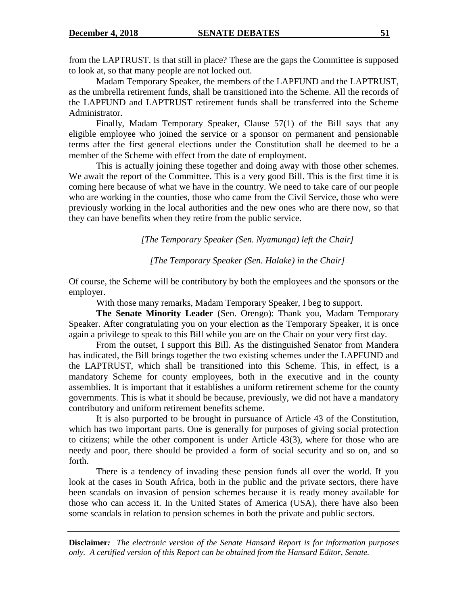from the LAPTRUST. Is that still in place? These are the gaps the Committee is supposed to look at, so that many people are not locked out.

Madam Temporary Speaker, the members of the LAPFUND and the LAPTRUST, as the umbrella retirement funds, shall be transitioned into the Scheme. All the records of the LAPFUND and LAPTRUST retirement funds shall be transferred into the Scheme Administrator.

Finally, Madam Temporary Speaker, Clause 57(1) of the Bill says that any eligible employee who joined the service or a sponsor on permanent and pensionable terms after the first general elections under the Constitution shall be deemed to be a member of the Scheme with effect from the date of employment.

This is actually joining these together and doing away with those other schemes. We await the report of the Committee. This is a very good Bill. This is the first time it is coming here because of what we have in the country. We need to take care of our people who are working in the counties, those who came from the Civil Service, those who were previously working in the local authorities and the new ones who are there now, so that they can have benefits when they retire from the public service.

*[The Temporary Speaker (Sen. Nyamunga) left the Chair]*

*[The Temporary Speaker (Sen. Halake) in the Chair]*

Of course, the Scheme will be contributory by both the employees and the sponsors or the employer.

With those many remarks, Madam Temporary Speaker, I beg to support.

**The Senate Minority Leader** (Sen. Orengo): Thank you, Madam Temporary Speaker. After congratulating you on your election as the Temporary Speaker, it is once again a privilege to speak to this Bill while you are on the Chair on your very first day.

From the outset, I support this Bill. As the distinguished Senator from Mandera has indicated, the Bill brings together the two existing schemes under the LAPFUND and the LAPTRUST, which shall be transitioned into this Scheme. This, in effect, is a mandatory Scheme for county employees, both in the executive and in the county assemblies. It is important that it establishes a uniform retirement scheme for the county governments. This is what it should be because, previously, we did not have a mandatory contributory and uniform retirement benefits scheme.

It is also purported to be brought in pursuance of Article 43 of the Constitution, which has two important parts. One is generally for purposes of giving social protection to citizens; while the other component is under Article 43(3), where for those who are needy and poor, there should be provided a form of social security and so on, and so forth.

There is a tendency of invading these pension funds all over the world. If you look at the cases in South Africa, both in the public and the private sectors, there have been scandals on invasion of pension schemes because it is ready money available for those who can access it. In the United States of America (USA), there have also been some scandals in relation to pension schemes in both the private and public sectors.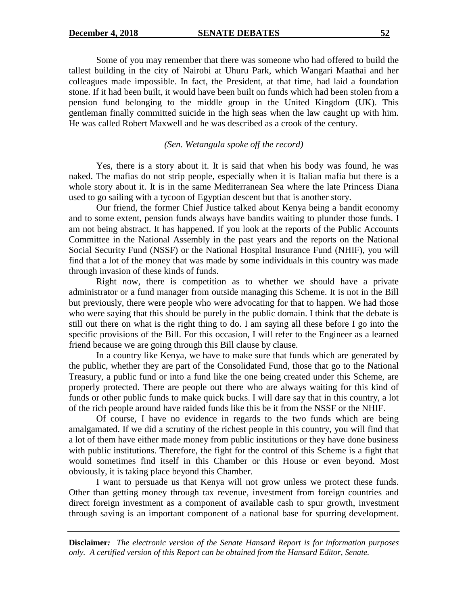Some of you may remember that there was someone who had offered to build the tallest building in the city of Nairobi at Uhuru Park, which Wangari Maathai and her colleagues made impossible. In fact, the President, at that time, had laid a foundation stone. If it had been built, it would have been built on funds which had been stolen from a pension fund belonging to the middle group in the United Kingdom (UK). This gentleman finally committed suicide in the high seas when the law caught up with him. He was called Robert Maxwell and he was described as a crook of the century.

### *(Sen. Wetangula spoke off the record)*

Yes, there is a story about it. It is said that when his body was found, he was naked. The mafias do not strip people, especially when it is Italian mafia but there is a whole story about it. It is in the same Mediterranean Sea where the late Princess Diana used to go sailing with a tycoon of Egyptian descent but that is another story.

Our friend, the former Chief Justice talked about Kenya being a bandit economy and to some extent, pension funds always have bandits waiting to plunder those funds. I am not being abstract. It has happened. If you look at the reports of the Public Accounts Committee in the National Assembly in the past years and the reports on the National Social Security Fund (NSSF) or the National Hospital Insurance Fund (NHIF), you will find that a lot of the money that was made by some individuals in this country was made through invasion of these kinds of funds.

Right now, there is competition as to whether we should have a private administrator or a fund manager from outside managing this Scheme. It is not in the Bill but previously, there were people who were advocating for that to happen. We had those who were saying that this should be purely in the public domain. I think that the debate is still out there on what is the right thing to do. I am saying all these before I go into the specific provisions of the Bill. For this occasion, I will refer to the Engineer as a learned friend because we are going through this Bill clause by clause.

In a country like Kenya, we have to make sure that funds which are generated by the public, whether they are part of the Consolidated Fund, those that go to the National Treasury, a public fund or into a fund like the one being created under this Scheme, are properly protected. There are people out there who are always waiting for this kind of funds or other public funds to make quick bucks. I will dare say that in this country, a lot of the rich people around have raided funds like this be it from the NSSF or the NHIF.

Of course, I have no evidence in regards to the two funds which are being amalgamated. If we did a scrutiny of the richest people in this country, you will find that a lot of them have either made money from public institutions or they have done business with public institutions. Therefore, the fight for the control of this Scheme is a fight that would sometimes find itself in this Chamber or this House or even beyond. Most obviously, it is taking place beyond this Chamber.

I want to persuade us that Kenya will not grow unless we protect these funds. Other than getting money through tax revenue, investment from foreign countries and direct foreign investment as a component of available cash to spur growth, investment through saving is an important component of a national base for spurring development.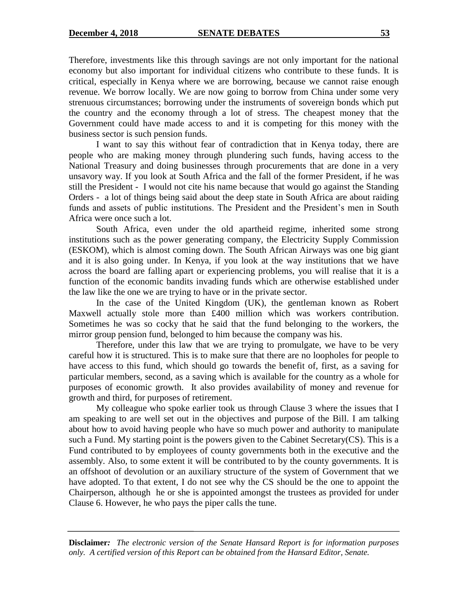Therefore, investments like this through savings are not only important for the national economy but also important for individual citizens who contribute to these funds. It is critical, especially in Kenya where we are borrowing, because we cannot raise enough revenue. We borrow locally. We are now going to borrow from China under some very strenuous circumstances; borrowing under the instruments of sovereign bonds which put the country and the economy through a lot of stress. The cheapest money that the Government could have made access to and it is competing for this money with the business sector is such pension funds.

I want to say this without fear of contradiction that in Kenya today, there are people who are making money through plundering such funds, having access to the National Treasury and doing businesses through procurements that are done in a very unsavory way. If you look at South Africa and the fall of the former President, if he was still the President - I would not cite his name because that would go against the Standing Orders - a lot of things being said about the deep state in South Africa are about raiding funds and assets of public institutions. The President and the President's men in South Africa were once such a lot.

South Africa, even under the old apartheid regime, inherited some strong institutions such as the power generating company, the Electricity Supply Commission (ESKOM), which is almost coming down. The South African Airways was one big giant and it is also going under. In Kenya, if you look at the way institutions that we have across the board are falling apart or experiencing problems, you will realise that it is a function of the economic bandits invading funds which are otherwise established under the law like the one we are trying to have or in the private sector.

In the case of the United Kingdom (UK), the gentleman known as Robert Maxwell actually stole more than £400 million which was workers contribution. Sometimes he was so cocky that he said that the fund belonging to the workers, the mirror group pension fund, belonged to him because the company was his.

Therefore, under this law that we are trying to promulgate, we have to be very careful how it is structured. This is to make sure that there are no loopholes for people to have access to this fund, which should go towards the benefit of, first, as a saving for particular members, second, as a saving which is available for the country as a whole for purposes of economic growth. It also provides availability of money and revenue for growth and third, for purposes of retirement.

My colleague who spoke earlier took us through Clause 3 where the issues that I am speaking to are well set out in the objectives and purpose of the Bill. I am talking about how to avoid having people who have so much power and authority to manipulate such a Fund. My starting point is the powers given to the Cabinet Secretary(CS). This is a Fund contributed to by employees of county governments both in the executive and the assembly. Also, to some extent it will be contributed to by the county governments. It is an offshoot of devolution or an auxiliary structure of the system of Government that we have adopted. To that extent, I do not see why the CS should be the one to appoint the Chairperson, although he or she is appointed amongst the trustees as provided for under Clause 6. However, he who pays the piper calls the tune.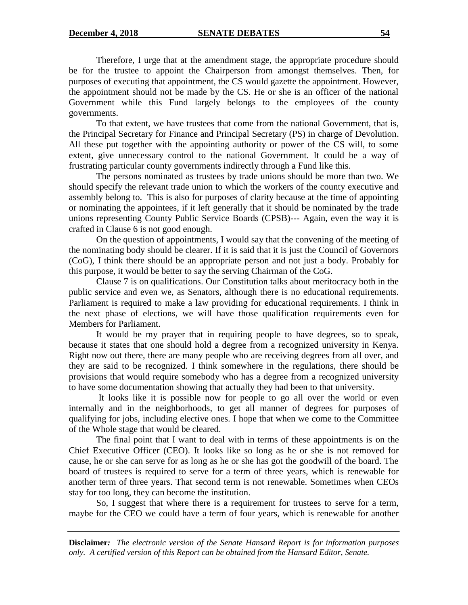Therefore, I urge that at the amendment stage, the appropriate procedure should be for the trustee to appoint the Chairperson from amongst themselves. Then, for purposes of executing that appointment, the CS would gazette the appointment. However, the appointment should not be made by the CS. He or she is an officer of the national Government while this Fund largely belongs to the employees of the county governments.

To that extent, we have trustees that come from the national Government, that is, the Principal Secretary for Finance and Principal Secretary (PS) in charge of Devolution. All these put together with the appointing authority or power of the CS will, to some extent, give unnecessary control to the national Government. It could be a way of frustrating particular county governments indirectly through a Fund like this.

The persons nominated as trustees by trade unions should be more than two. We should specify the relevant trade union to which the workers of the county executive and assembly belong to. This is also for purposes of clarity because at the time of appointing or nominating the appointees, if it left generally that it should be nominated by the trade unions representing County Public Service Boards (CPSB)--- Again, even the way it is crafted in Clause 6 is not good enough.

On the question of appointments, I would say that the convening of the meeting of the nominating body should be clearer. If it is said that it is just the Council of Governors (CoG), I think there should be an appropriate person and not just a body. Probably for this purpose, it would be better to say the serving Chairman of the CoG.

Clause 7 is on qualifications. Our Constitution talks about meritocracy both in the public service and even we, as Senators, although there is no educational requirements. Parliament is required to make a law providing for educational requirements. I think in the next phase of elections, we will have those qualification requirements even for Members for Parliament.

It would be my prayer that in requiring people to have degrees, so to speak, because it states that one should hold a degree from a recognized university in Kenya. Right now out there, there are many people who are receiving degrees from all over, and they are said to be recognized. I think somewhere in the regulations, there should be provisions that would require somebody who has a degree from a recognized university to have some documentation showing that actually they had been to that university.

It looks like it is possible now for people to go all over the world or even internally and in the neighborhoods, to get all manner of degrees for purposes of qualifying for jobs, including elective ones. I hope that when we come to the Committee of the Whole stage that would be cleared.

The final point that I want to deal with in terms of these appointments is on the Chief Executive Officer (CEO). It looks like so long as he or she is not removed for cause, he or she can serve for as long as he or she has got the goodwill of the board. The board of trustees is required to serve for a term of three years, which is renewable for another term of three years. That second term is not renewable. Sometimes when CEOs stay for too long, they can become the institution.

So, I suggest that where there is a requirement for trustees to serve for a term, maybe for the CEO we could have a term of four years, which is renewable for another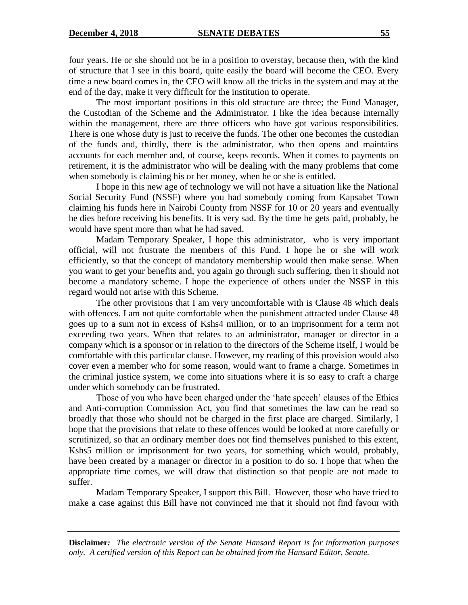four years. He or she should not be in a position to overstay, because then, with the kind of structure that I see in this board, quite easily the board will become the CEO. Every time a new board comes in, the CEO will know all the tricks in the system and may at the end of the day, make it very difficult for the institution to operate.

The most important positions in this old structure are three; the Fund Manager, the Custodian of the Scheme and the Administrator. I like the idea because internally within the management, there are three officers who have got various responsibilities. There is one whose duty is just to receive the funds. The other one becomes the custodian of the funds and, thirdly, there is the administrator, who then opens and maintains accounts for each member and, of course, keeps records. When it comes to payments on retirement, it is the administrator who will be dealing with the many problems that come when somebody is claiming his or her money, when he or she is entitled.

I hope in this new age of technology we will not have a situation like the National Social Security Fund (NSSF) where you had somebody coming from Kapsabet Town claiming his funds here in Nairobi County from NSSF for 10 or 20 years and eventually he dies before receiving his benefits. It is very sad. By the time he gets paid, probably, he would have spent more than what he had saved.

Madam Temporary Speaker, I hope this administrator, who is very important official, will not frustrate the members of this Fund. I hope he or she will work efficiently, so that the concept of mandatory membership would then make sense. When you want to get your benefits and, you again go through such suffering, then it should not become a mandatory scheme. I hope the experience of others under the NSSF in this regard would not arise with this Scheme.

The other provisions that I am very uncomfortable with is Clause 48 which deals with offences. I am not quite comfortable when the punishment attracted under Clause 48 goes up to a sum not in excess of Kshs4 million, or to an imprisonment for a term not exceeding two years. When that relates to an administrator, manager or director in a company which is a sponsor or in relation to the directors of the Scheme itself, I would be comfortable with this particular clause. However, my reading of this provision would also cover even a member who for some reason, would want to frame a charge. Sometimes in the criminal justice system, we come into situations where it is so easy to craft a charge under which somebody can be frustrated.

Those of you who have been charged under the "hate speech" clauses of the Ethics and Anti-corruption Commission Act, you find that sometimes the law can be read so broadly that those who should not be charged in the first place are charged. Similarly, I hope that the provisions that relate to these offences would be looked at more carefully or scrutinized, so that an ordinary member does not find themselves punished to this extent, Kshs5 million or imprisonment for two years, for something which would, probably, have been created by a manager or director in a position to do so. I hope that when the appropriate time comes, we will draw that distinction so that people are not made to suffer.

Madam Temporary Speaker, I support this Bill. However, those who have tried to make a case against this Bill have not convinced me that it should not find favour with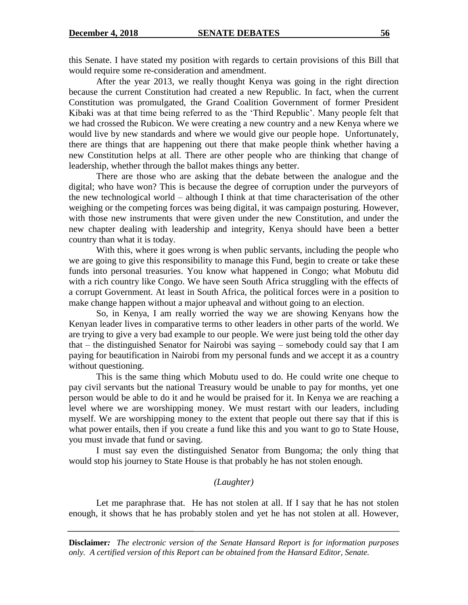this Senate. I have stated my position with regards to certain provisions of this Bill that would require some re-consideration and amendment.

After the year 2013, we really thought Kenya was going in the right direction because the current Constitution had created a new Republic. In fact, when the current Constitution was promulgated, the Grand Coalition Government of former President Kibaki was at that time being referred to as the "Third Republic". Many people felt that we had crossed the Rubicon. We were creating a new country and a new Kenya where we would live by new standards and where we would give our people hope. Unfortunately, there are things that are happening out there that make people think whether having a new Constitution helps at all. There are other people who are thinking that change of leadership, whether through the ballot makes things any better.

There are those who are asking that the debate between the analogue and the digital; who have won? This is because the degree of corruption under the purveyors of the new technological world – although I think at that time characterisation of the other weighing or the competing forces was being digital, it was campaign posturing. However, with those new instruments that were given under the new Constitution, and under the new chapter dealing with leadership and integrity, Kenya should have been a better country than what it is today.

With this, where it goes wrong is when public servants, including the people who we are going to give this responsibility to manage this Fund, begin to create or take these funds into personal treasuries. You know what happened in Congo; what Mobutu did with a rich country like Congo. We have seen South Africa struggling with the effects of a corrupt Government. At least in South Africa, the political forces were in a position to make change happen without a major upheaval and without going to an election.

So, in Kenya, I am really worried the way we are showing Kenyans how the Kenyan leader lives in comparative terms to other leaders in other parts of the world. We are trying to give a very bad example to our people. We were just being told the other day that – the distinguished Senator for Nairobi was saying – somebody could say that I am paying for beautification in Nairobi from my personal funds and we accept it as a country without questioning.

This is the same thing which Mobutu used to do. He could write one cheque to pay civil servants but the national Treasury would be unable to pay for months, yet one person would be able to do it and he would be praised for it. In Kenya we are reaching a level where we are worshipping money. We must restart with our leaders, including myself. We are worshipping money to the extent that people out there say that if this is what power entails, then if you create a fund like this and you want to go to State House, you must invade that fund or saving.

I must say even the distinguished Senator from Bungoma; the only thing that would stop his journey to State House is that probably he has not stolen enough.

### *(Laughter)*

Let me paraphrase that. He has not stolen at all. If I say that he has not stolen enough, it shows that he has probably stolen and yet he has not stolen at all. However,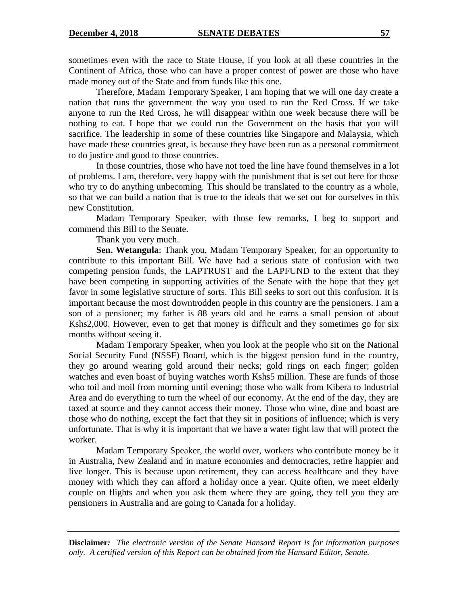sometimes even with the race to State House, if you look at all these countries in the Continent of Africa, those who can have a proper contest of power are those who have made money out of the State and from funds like this one.

Therefore, Madam Temporary Speaker, I am hoping that we will one day create a nation that runs the government the way you used to run the Red Cross. If we take anyone to run the Red Cross, he will disappear within one week because there will be nothing to eat. I hope that we could run the Government on the basis that you will sacrifice. The leadership in some of these countries like Singapore and Malaysia, which have made these countries great, is because they have been run as a personal commitment to do justice and good to those countries.

In those countries, those who have not toed the line have found themselves in a lot of problems. I am, therefore, very happy with the punishment that is set out here for those who try to do anything unbecoming. This should be translated to the country as a whole, so that we can build a nation that is true to the ideals that we set out for ourselves in this new Constitution.

Madam Temporary Speaker, with those few remarks, I beg to support and commend this Bill to the Senate.

Thank you very much.

**Sen. Wetangula**: Thank you, Madam Temporary Speaker, for an opportunity to contribute to this important Bill. We have had a serious state of confusion with two competing pension funds, the LAPTRUST and the LAPFUND to the extent that they have been competing in supporting activities of the Senate with the hope that they get favor in some legislative structure of sorts. This Bill seeks to sort out this confusion. It is important because the most downtrodden people in this country are the pensioners. I am a son of a pensioner; my father is 88 years old and he earns a small pension of about Kshs2,000. However, even to get that money is difficult and they sometimes go for six months without seeing it.

Madam Temporary Speaker, when you look at the people who sit on the National Social Security Fund (NSSF) Board, which is the biggest pension fund in the country, they go around wearing gold around their necks; gold rings on each finger; golden watches and even boast of buying watches worth Kshs5 million. These are funds of those who toil and moil from morning until evening; those who walk from Kibera to Industrial Area and do everything to turn the wheel of our economy. At the end of the day, they are taxed at source and they cannot access their money. Those who wine, dine and boast are those who do nothing, except the fact that they sit in positions of influence; which is very unfortunate. That is why it is important that we have a water tight law that will protect the worker.

Madam Temporary Speaker, the world over, workers who contribute money be it in Australia, New Zealand and in mature economies and democracies, retire happier and live longer. This is because upon retirement, they can access healthcare and they have money with which they can afford a holiday once a year. Quite often, we meet elderly couple on flights and when you ask them where they are going, they tell you they are pensioners in Australia and are going to Canada for a holiday.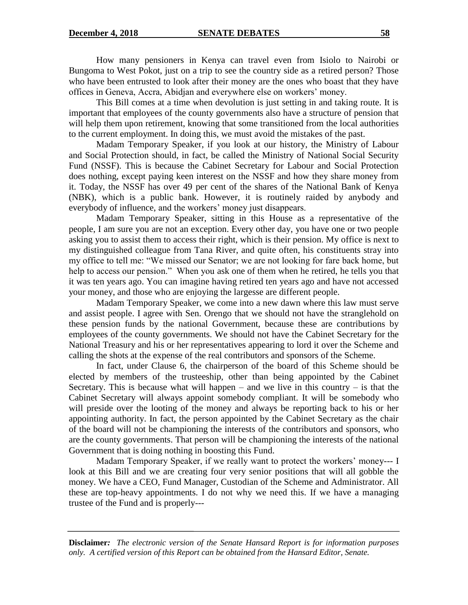How many pensioners in Kenya can travel even from Isiolo to Nairobi or Bungoma to West Pokot, just on a trip to see the country side as a retired person? Those who have been entrusted to look after their money are the ones who boast that they have offices in Geneva, Accra, Abidjan and everywhere else on workers" money.

This Bill comes at a time when devolution is just setting in and taking route. It is important that employees of the county governments also have a structure of pension that will help them upon retirement, knowing that some transitioned from the local authorities to the current employment. In doing this, we must avoid the mistakes of the past.

Madam Temporary Speaker, if you look at our history, the Ministry of Labour and Social Protection should, in fact, be called the Ministry of National Social Security Fund (NSSF). This is because the Cabinet Secretary for Labour and Social Protection does nothing, except paying keen interest on the NSSF and how they share money from it. Today, the NSSF has over 49 per cent of the shares of the National Bank of Kenya (NBK), which is a public bank. However, it is routinely raided by anybody and everybody of influence, and the workers' money just disappears.

Madam Temporary Speaker, sitting in this House as a representative of the people, I am sure you are not an exception. Every other day, you have one or two people asking you to assist them to access their right, which is their pension. My office is next to my distinguished colleague from Tana River, and quite often, his constituents stray into my office to tell me: "We missed our Senator; we are not looking for fare back home, but help to access our pension." When you ask one of them when he retired, he tells you that it was ten years ago. You can imagine having retired ten years ago and have not accessed your money, and those who are enjoying the largesse are different people.

Madam Temporary Speaker, we come into a new dawn where this law must serve and assist people. I agree with Sen. Orengo that we should not have the stranglehold on these pension funds by the national Government, because these are contributions by employees of the county governments. We should not have the Cabinet Secretary for the National Treasury and his or her representatives appearing to lord it over the Scheme and calling the shots at the expense of the real contributors and sponsors of the Scheme.

In fact, under Clause 6, the chairperson of the board of this Scheme should be elected by members of the trusteeship, other than being appointed by the Cabinet Secretary. This is because what will happen – and we live in this country – is that the Cabinet Secretary will always appoint somebody compliant. It will be somebody who will preside over the looting of the money and always be reporting back to his or her appointing authority. In fact, the person appointed by the Cabinet Secretary as the chair of the board will not be championing the interests of the contributors and sponsors, who are the county governments. That person will be championing the interests of the national Government that is doing nothing in boosting this Fund.

Madam Temporary Speaker, if we really want to protect the workers' money--- I look at this Bill and we are creating four very senior positions that will all gobble the money. We have a CEO, Fund Manager, Custodian of the Scheme and Administrator. All these are top-heavy appointments. I do not why we need this. If we have a managing trustee of the Fund and is properly---